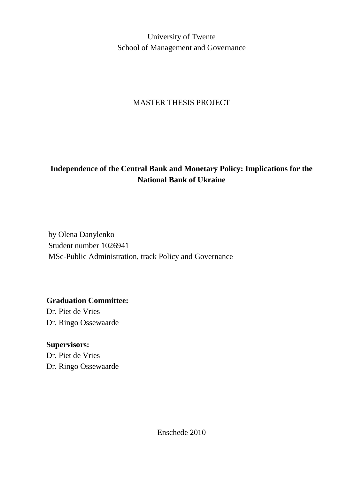University of Twente School of Management and Governance

# MASTER THESIS PROJECT

# **Independence of the Central Bank and Monetary Policy: Implications for the National Bank of Ukraine**

by Olena Danylenko Student number 1026941 MSc-Public Administration, track Policy and Governance

**Graduation Committee:**

Dr. Piet de Vries Dr. Ringo Ossewaarde

**Supervisors:** Dr. Piet de Vries Dr. Ringo Ossewaarde

Enschede 2010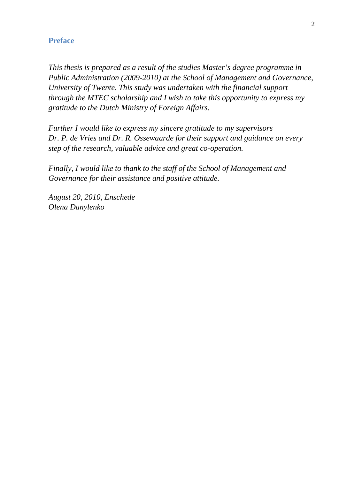# **Preface**

*This thesis is prepared as a result of the studies Master's degree programme in Public Administration (2009-2010) at the School of Management and Governance, University of Twente. This study was undertaken with the financial support through the MTEC scholarship and I wish to take this opportunity to express my gratitude to the Dutch Ministry of Foreign Affairs.*

*Further I would like to express my sincere gratitude to my supervisors Dr. P. de Vries and Dr. R. Ossewaarde for their support and guidance on every step of the research, valuable advice and great co-operation.* 

*Finally, I would like to thank to the staff of the School of Management and Governance for their assistance and positive attitude.*

*August 20, 2010, Enschede Olena Danylenko*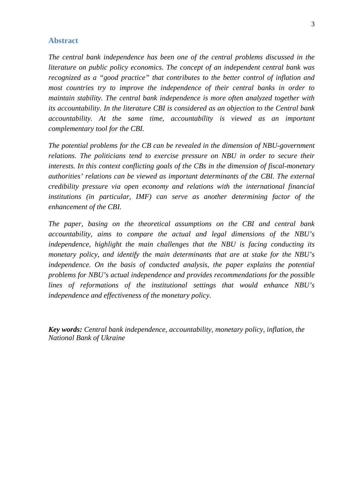# **Abstract**

*The central bank independence has been one of the central problems discussed in the literature on public policy economics. The concept of an independent central bank was recognized as a "good practice" that contributes to the better control of inflation and most countries try to improve the independence of their central banks in order to maintain stability. The central bank independence is more often analyzed together with its accountability. In the literature CBI is considered as an objection to the Central bank accountability. At the same time, accountability is viewed as an important complementary tool for the CBI.* 

*The potential problems for the CB can be revealed in the dimension of NBU-government*  relations. The politicians tend to exercise pressure on NBU in order to secure their *interests. In this context conflicting goals of the CBs in the dimension of fiscal-monetary authorities' relations can be viewed as important determinants of the CBI. The external credibility pressure via open economy and relations with the international financial institutions (in particular, IMF) can serve as another determining factor of the enhancement of the CBI.*

*The paper, basing on the theoretical assumptions on the CBI and central bank accountability, aims to compare the actual and legal dimensions of the NBU's independence, highlight the main challenges that the NBU is facing conducting its monetary policy, and identify the main determinants that are at stake for the NBU's independence. On the basis of conducted analysis, the paper explains the potential problems for NBU's actual independence and provides recommendations for the possible lines of reformations of the institutional settings that would enhance NBU's independence and effectiveness of the monetary policy.*

*Key words: Central bank independence, accountability, monetary policy, inflation, the National Bank of Ukraine*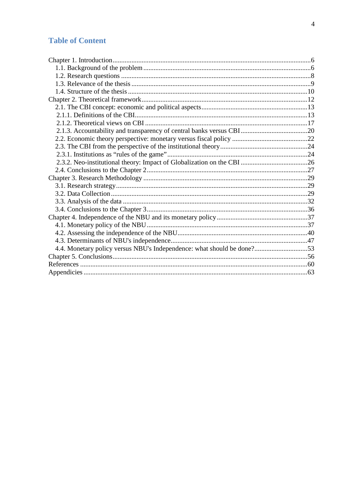# **Table of Content**

| 4.4. Monetary policy versus NBU's Independence: what should be done?53 |  |
|------------------------------------------------------------------------|--|
|                                                                        |  |
|                                                                        |  |
|                                                                        |  |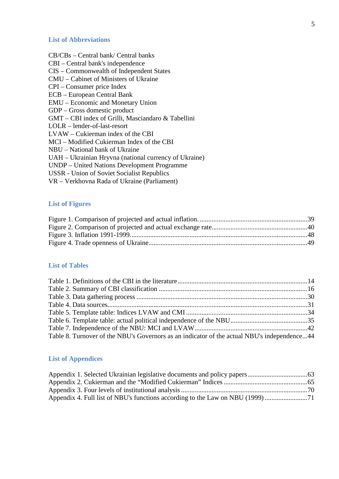#### **List of Abbreviations**

- CB/CBs Central bank/ Central banks CBI – Central bank's independence CIS – Commonwealth of Independent States CMU – Cabinet of Ministers of Ukraine CPI – Consumer price Index
- ECB European Central Bank

EMU – Economic and Monetary Union

GDP – Gross domestic product

GMT – CBI index of Grilli, Masciandaro & Tabellini

LOLR – lender-of-last-resort

LVAW – Cukierman index of the CBI

MCI – Modified Cukierman Index of the CBI

NBU – National bank of Ukraine

UAH – Ukrainian Hryvna (national currency of Ukraine)

UNDP – United Nations Development Programme

USSR - Union of Soviet Socialist Republics

VR – Verkhovna Rada of Ukraine (Parliament)

## **List of Figures**

## **List of Tables**

| Table 8. Turnover of the NBU's Governors as an indicator of the actual NBU's independence44 |  |
|---------------------------------------------------------------------------------------------|--|

# **List of Appendices**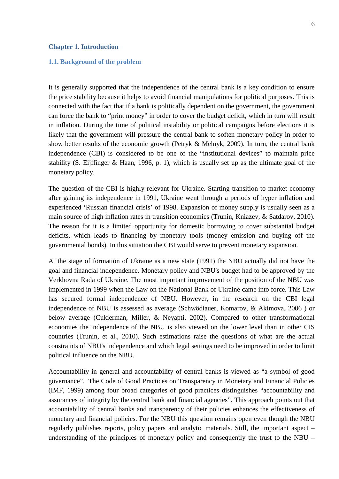#### <span id="page-5-0"></span>**Chapter 1. Introduction**

#### <span id="page-5-1"></span>**1.1. Background of the problem**

It is generally supported that the independence of the central bank is a key condition to ensure the price stability because it helps to avoid financial manipulations for political purposes. This is connected with the fact that if a bank is politically dependent on the government, the government can force the bank to "print money" in order to cover the budget deficit, which in turn will result in inflation. During the time of political instability or political campaigns before elections it is

likely that the government will pressure the central bank to soften monetary policy in order to show better results of the economic growth (Petryk & Melnyk, 2009). In turn, the central bank independence (CBI) is considered to be one of the "institutional devices" to maintain price stability (S. Eijffinger & Haan, 1996, p. 1), which is usually set up as the ultimate goal of the monetary policy.

The question of the CBI is highly relevant for Ukraine. Starting transition to market economy after gaining its independence in 1991, Ukraine went through a periods of hyper inflation and experienced 'Russian financial crisis' of 1998. Expansion of money supply is usually seen as a main source of high inflation rates in transition economies (Trunin, Kniazev, & Satdarov, 2010). The reason for it is a limited opportunity for domestic borrowing to cover substantial budget deficits, which leads to financing by monetary tools (money emission and buying off the governmental bonds). In this situation the CBI would serve to prevent monetary expansion.

At the stage of formation of Ukraine as a new state (1991) the NBU actually did not have the goal and financial independence. Monetary policy and NBU's budget had to be approved by the Verkhovna Rada of Ukraine. The most important improvement of the position of the NBU was implemented in 1999 when the Law on the National Bank of Ukraine came into force. This Law has secured formal independence of NBU. However, in the research on the CBI legal independence of NBU is assessed as average (Schwödiauer, Komarov, & Akimova, 2006 ) or below average (Cukierman, Miller, & Neyapti, 2002). Compared to other transformational economies the independence of the NBU is also viewed on the lower level than in other CIS countries (Trunin, et al., 2010). Such estimations raise the questions of what are the actual constraints of NBU's independence and which legal settings need to be improved in order to limit political influence on the NBU.

Accountability in general and accountability of central banks is viewed as "a symbol of good governance". The Code of Good Practices on Transparency in Monetary and Financial Policies (IMF, 1999) among four broad categories of good practices distinguishes "accountability and assurances of integrity by the central bank and financial agencies". This approach points out that accountability of central banks and transparency of their policies enhances the effectiveness of monetary and financial policies. For the NBU this question remains open even though the NBU regularly publishes reports, policy papers and analytic materials. Still, the important aspect – understanding of the principles of monetary policy and consequently the trust to the NBU –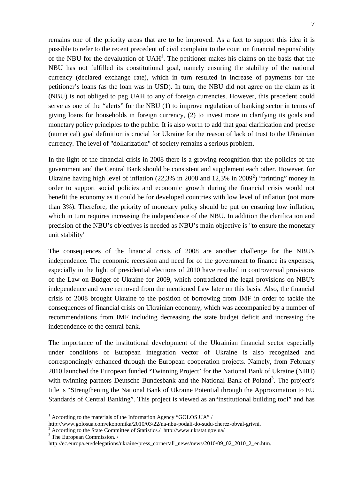remains one of the priority areas that are to be improved. As a fact to support this idea it is possible to refer to the recent precedent of civil complaint to the court on financial responsibility of the NBU for the devaluation of  $UAH<sup>1</sup>$ . The petitioner makes his claims on the basis that the NBU has not fulfilled its constitutional goal, namely ensuring the stability of the national currency (declared exchange rate), which in turn resulted in increase of payments for the petitioner's loans (as the loan was in USD). In turn, the NBU did not agree on the claim as it (NBU) is not obliged to peg UAH to any of foreign currencies. However, this precedent could serve as one of the "alerts" for the NBU (1) to improve regulation of banking sector in terms of giving loans for households in foreign currency, (2) to invest more in clarifying its goals and monetary policy principles to the public. It is also worth to add that goal clarification and precise (numerical) goal definition is crucial for Ukraine for the reason of lack of trust to the Ukrainian currency. The level of "dollarization" of society remains a serious problem.

In the light of the financial crisis in 2008 there is a growing recognition that the policies of the government and the Central Bank should be consistent and supplement each other. However, for Ukraine having high level of inflation  $(22,3%$  in 2008 and  $12,3%$  in 2009<sup>2</sup>) "printing" money in order to support social policies and economic growth during the financial crisis would not benefit the economy as it could be for developed countries with low level of inflation (not more than 3%). Therefore, the priority of monetary policy should be put on ensuring low inflation, which in turn requires increasing the independence of the NBU. In addition the clarification and precision of the NBU's objectives is needed as NBU's main objective is "to ensure the monetary unit stability'

The consequences of the financial crisis of 2008 are another challenge for the NBU's independence. The economic recession and need for of the government to finance its expenses, especially in the light of presidential elections of 2010 have resulted in controversial provisions of the Law on Budget of Ukraine for 2009, which contradicted the legal provisions on NBU's independence and were removed from the mentioned Law later on this basis. Also, the financial crisis of 2008 brought Ukraine to the position of borrowing from IMF in order to tackle the consequences of financial crisis on Ukrainian economy, which was accompanied by a number of recommendations from IMF including decreasing the state budget deficit and increasing the independence of the central bank.

The importance of the institutional development of the Ukrainian financial sector especially under conditions of European integration vector of Ukraine is also recognized and correspondingly enhanced through the European cooperation projects. Namely, from February 2010 launched the European funded **'**Twinning Project' for the National Bank of Ukraine (NBU) with twinning partners Deutsche Bundesbank and the National Bank of Poland<sup>3</sup>. The project's title is "Strengthening the National Bank of Ukraine Potential through the Approximation to EU Standards of Central Banking". This project is viewed as an"institutional building tool" and has

 $1$  According to the materials of the Information Agency "GOLOS.UA" /

http://www.golosua.com/ekonomika/2010/03/22/na-nbu-podali-do-sudu-cherez-obval-grivni. <sup>2</sup> According to the State Committee of Statistics./ http://www.ukrstat.gov.ua/ <sup>3</sup> The European Commission. /

http://ec.europa.eu/delegations/ukraine/press\_corner/all\_news/news/2010/09\_02\_2010\_2\_en.htm.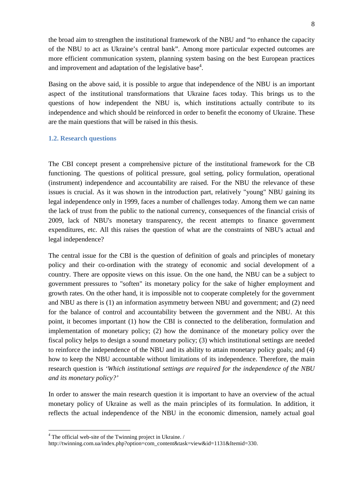the broad aim to strengthen the institutional framework of the NBU and "to enhance the capacity of the NBU to act as Ukraine's central bank". Among more particular expected outcomes are more efficient communication system, planning system basing on the best European practices and improvement and adaptation of the legislative base<sup>4</sup>.

Basing on the above said, it is possible to argue that independence of the NBU is an important aspect of the institutional transformations that Ukraine faces today. This brings us to the questions of how independent the NBU is, which institutions actually contribute to its independence and which should be reinforced in order to benefit the economy of Ukraine. These are the main questions that will be raised in this thesis.

#### <span id="page-7-0"></span>**1.2. Research questions**

The CBI concept present a comprehensive picture of the institutional framework for the CB functioning. The questions of political pressure, goal setting, policy formulation, operational (instrument) independence and accountability are raised. For the NBU the relevance of these issues is crucial. As it was shown in the introduction part, relatively "young" NBU gaining its legal independence only in 1999, faces a number of challenges today. Among them we can name the lack of trust from the public to the national currency, consequences of the financial crisis of 2009, lack of NBU's monetary transparency, the recent attempts to finance government expenditures, etc. All this raises the question of what are the constraints of NBU's actual and legal independence?

The central issue for the CBI is the question of definition of goals and principles of monetary policy and their co-ordination with the strategy of economic and social development of a country. There are opposite views on this issue. On the one hand, the NBU can be a subject to government pressures to "soften" its monetary policy for the sake of higher employment and growth rates. On the other hand, it is impossible not to cooperate completely for the government and NBU as there is (1) an information asymmetry between NBU and government; and (2) need for the balance of control and accountability between the government and the NBU. At this point, it becomes important (1) how the CBI is connected to the deliberation, formulation and implementation of monetary policy; (2) how the dominance of the monetary policy over the fiscal policy helps to design a sound monetary policy; (3) which institutional settings are needed to reinforce the independence of the NBU and its ability to attain monetary policy goals; and (4) how to keep the NBU accountable without limitations of its independence. Therefore, the main research question is *'Which institutional settings are required for the independence of the NBU and its monetary policy?'*

In order to answer the main research question it is important to have an overview of the actual monetary policy of Ukraine as well as the main principles of its formulation. In addition, it reflects the actual independence of the NBU in the economic dimension, namely actual goal

<sup>&</sup>lt;sup>4</sup> The official web-site of the Twinning project in Ukraine. /

http://twinning.com.ua/index.php?option=com\_content&task=view&id=1131&Itemid=330.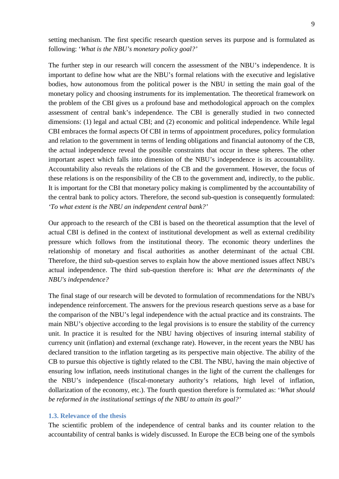setting mechanism. The first specific research question serves its purpose and is formulated as following: '*What is the NBU's monetary policy goal?'*

The further step in our research will concern the assessment of the NBU's independence. It is important to define how what are the NBU's formal relations with the executive and legislative bodies, how autonomous from the political power is the NBU in setting the main goal of the monetary policy and choosing instruments for its implementation. The theoretical framework on the problem of the CBI gives us a profound base and methodological approach on the complex assessment of central bank's independence. The CBI is generally studied in two connected dimensions: (1) legal and actual CBI; and (2) economic and political independence. While legal CBI embraces the formal aspects Of CBI in terms of appointment procedures, policy formulation and relation to the government in terms of lending obligations and financial autonomy of the CB, the actual independence reveal the possible constraints that occur in these spheres. The other important aspect which falls into dimension of the NBU's independence is its accountability. Accountability also reveals the relations of the CB and the government. However, the focus of these relations is on the responsibility of the CB to the government and, indirectly, to the public. It is important for the CBI that monetary policy making is complimented by the accountability of the central bank to policy actors. Therefore, the second sub-question is consequently formulated: *'To what extent is the NBU an independent central bank?'*

Our approach to the research of the CBI is based on the theoretical assumption that the level of actual CBI is defined in the context of institutional development as well as external credibility pressure which follows from the institutional theory*.* The economic theory underlines the relationship of monetary and fiscal authorities as another determinant of the actual CBI. Therefore, the third sub-question serves to explain how the above mentioned issues affect NBU's actual independence. The third sub-question therefore is: *What are the determinants of the NBU's independence?*

The final stage of our research will be devoted to formulation of recommendations for the NBU's independence reinforcement. The answers for the previous research questions serve as a base for the comparison of the NBU's legal independence with the actual practice and its constraints. The main NBU's objective according to the legal provisions is to ensure the stability of the currency unit. In practice it is resulted for the NBU having objectives of insuring internal stability of currency unit (inflation) and external (exchange rate). However, in the recent years the NBU has declared transition to the inflation targeting as its perspective main objective. The ability of the CB to pursue this objective is tightly related to the CBI. The NBU, having the main objective of ensuring low inflation, needs institutional changes in the light of the current the challenges for the NBU's independence (fiscal-monetary authority's relations, high level of inflation, dollarization of the economy, etc.). The fourth question therefore is formulated as: '*What should be reformed in the institutional settings of the NBU to attain its goal?'*

## <span id="page-8-0"></span>**1.3. Relevance of the thesis**

The scientific problem of the independence of central banks and its counter relation to the accountability of central banks is widely discussed. In Europe the ECB being one of the symbols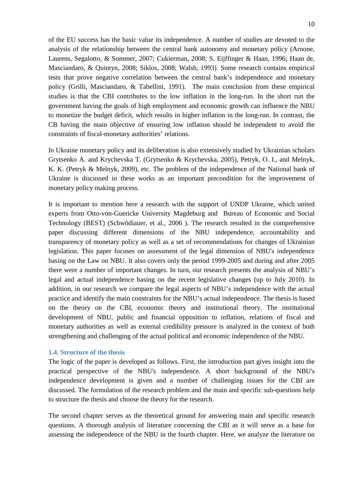of the EU success has the basic value its independence. A number of studies are devoted to the analysis of the relationship between the central bank autonomy and monetary policy (Arnone, Laurens, Segalotto, & Sommer, 2007; Cukierman, 2008; S. Eijffinger & Haan, 1996; Haan de, Masciandaro, & Quintyn, 2008; Siklos, 2008; Walsh, 1993). Some research contains empirical tests that prove negative correlation between the central bank's independence and monetary policy (Grilli, Masciandaro, & Tabellini, 1991). The main conclusion from these empirical studies is that the CBI contributes to the low inflation in the long-run. In the short run the government having the goals of high employment and economic growth can influence the NBU to monetize the budget deficit, which results in higher inflation in the long-run. In contrast, the CB having the main objective of ensuring low inflation should be independent to avoid the constraints of fiscal-monetary authorities' relations.

In Ukraine monetary policy and its deliberation is also extensively studied by Ukrainian scholars Grytsenko A. and Krychevska T. (Grytsenko & Krychevska, 2005), Petryk, O. I., and Melnyk, K. K. (Petryk & Melnyk, 2009), etc. The problem of the independence of the National bank of Ukraine is discussed in these works as an important precondition for the improvement of monetary policy making process.

It is important to mention here a research with the support of UNDP Ukraine, which united experts from Otto-von-Guericke University Magdeburg and Bureau of Economic and Social Technology (BEST) (Schwödiauer, et al., 2006 ). The research resulted in the comprehensive paper discussing different dimensions of the NBU independence, accountability and transparency of monetary policy as well as a set of recommendations for changes of Ukrainian legislation. This paper focuses on assessment of the legal dimension of NBU's independence basing on the Law on NBU. It also covers only the period 1999-2005 and during and after 2005 there were a number of important changes. In turn, our research presents the analysis of NBU's legal and actual independence basing on the recent legislative changes (up to July 2010). In addition, in our research we compare the legal aspects of NBU's independence with the actual practice and identify the main constraints for the NBU's actual independence. The thesis is based on the theory on the CBI, economic theory and institutional theory. The institutional development of NBU, public and financial opposition to inflation, relations of fiscal and monetary authorities as well as external credibility pressure is analyzed in the context of both strengthening and challenging of the actual political and economic independence of the NBU.

### <span id="page-9-0"></span>**1.4. Structure of the thesis**

The logic of the paper is developed as follows. First, the introduction part gives insight into the practical perspective of the NBU's independence. A short background of the NBU's independence development is given and a number of challenging issues for the CBI are discussed. The formulation of the research problem and the main and specific sub-questions help to structure the thesis and choose the theory for the research.

The second chapter serves as the theoretical ground for answering main and specific research questions. A thorough analysis of literature concerning the CBI as it will serve as a base for assessing the independence of the NBU in the fourth chapter. Here, we analyze the literature on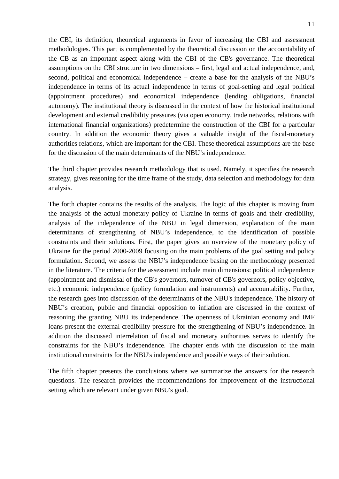the CBI, its definition, theoretical arguments in favor of increasing the CBI and assessment methodologies. This part is complemented by the theoretical discussion on the accountability of the CB as an important aspect along with the CBI of the CB's governance. The theoretical assumptions on the CBI structure in two dimensions – first, legal and actual independence, and, second, political and economical independence – create a base for the analysis of the NBU's independence in terms of its actual independence in terms of goal-setting and legal political (appointment procedures) and economical independence (lending obligations, financial autonomy). The institutional theory is discussed in the context of how the historical institutional development and external credibility pressures (via open economy, trade networks, relations with international financial organizations) predetermine the construction of the CBI for a particular country. In addition the economic theory gives a valuable insight of the fiscal-monetary authorities relations, which are important for the CBI. These theoretical assumptions are the base for the discussion of the main determinants of the NBU's independence.

The third chapter provides research methodology that is used. Namely, it specifies the research strategy, gives reasoning for the time frame of the study, data selection and methodology for data analysis.

The forth chapter contains the results of the analysis. The logic of this chapter is moving from the analysis of the actual monetary policy of Ukraine in terms of goals and their credibility, analysis of the independence of the NBU in legal dimension, explanation of the main determinants of strengthening of NBU's independence, to the identification of possible constraints and their solutions. First, the paper gives an overview of the monetary policy of Ukraine for the period 2000-2009 focusing on the main problems of the goal setting and policy formulation. Second, we assess the NBU's independence basing on the methodology presented in the literature. The criteria for the assessment include main dimensions: political independence (appointment and dismissal of the CB's governors, turnover of CB's governors, policy objective, etc.) economic independence (policy formulation and instruments) and accountability. Further, the research goes into discussion of the determinants of the NBU's independence. The history of NBU's creation, public and financial opposition to inflation are discussed in the context of reasoning the granting NBU its independence. The openness of Ukrainian economy and IMF loans present the external credibility pressure for the strengthening of NBU's independence. In addition the discussed interrelation of fiscal and monetary authorities serves to identify the constraints for the NBU's independence. The chapter ends with the discussion of the main institutional constraints for the NBU's independence and possible ways of their solution.

The fifth chapter presents the conclusions where we summarize the answers for the research questions. The research provides the recommendations for improvement of the instructional setting which are relevant under given NBU's goal.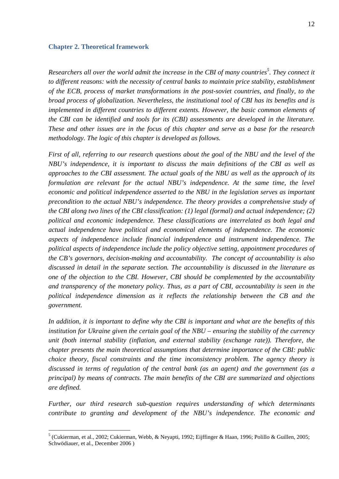#### <span id="page-11-0"></span>**Chapter 2. Theoretical framework**

*Researchers all over the world admit the increase in the CBI of many countries<sup>5</sup> . They connect it to different reasons: with the necessity of central banks to maintain price stability, establishment of the ECB, process of market transformations in the post-soviet countries, and finally, to the broad process of globalization. Nevertheless, the institutional tool of CBI has its benefits and is implemented in different countries to different extents. However, the basic common elements of the CBI can be identified and tools for its (CBI) assessments are developed in the literature. These and other issues are in the focus of this chapter and serve as a base for the research methodology. The logic of this chapter is developed as follows.* 

*First of all, referring to our research questions about the goal of the NBU and the level of the NBU's independence, it is important to discuss the main definitions of the CBI as well as approaches to the CBI assessment. The actual goals of the NBU as well as the approach of its*  formulation are relevant for the actual NBU's independence. At the same time, the level *economic and political independence asserted to the NBU in the legislation serves as important precondition to the actual NBU's independence. The theory provides a comprehensive study of the CBI along two lines of the CBI classification: (1) legal (formal) and actual independence; (2) political and economic independence. These classifications are interrelated as both legal and actual independence have political and economical elements of independence. The economic aspects of independence include financial independence and instrument independence. The political aspects of independence include the policy objective setting, appointment procedures of the CB's governors, decision-making and accountability. The concept of accountability is also discussed in detail in the separate section. The accountability is discussed in the literature as one of the objection to the CBI. However, CBI should be complemented by the accountability and transparency of the monetary policy. Thus, as a part of CBI, accountability is seen in the political independence dimension as it reflects the relationship between the CB and the government.*

*In addition, it is important to define why the CBI is important and what are the benefits of this institution for Ukraine given the certain goal of the NBU – ensuring the stability of the currency unit (both internal stability (inflation, and external stability (exchange rate)). Therefore, the chapter presents the main theoretical assumptions that determine importance of the CBI: public choice theory, fiscal constraints and the time inconsistency problem. The agency theory is discussed in terms of regulation of the central bank (as an agent) and the government (as a principal) by means of contracts. The main benefits of the CBI are summarized and objections are defined.* 

*Further, our third research sub-question requires understanding of which determinants contribute to granting and development of the NBU's independence. The economic and* 

 <sup>5</sup> (Cukierman, et al., 2002; Cukierman, Webb, & Neyapti, 1992; Eijffinger & Haan, 1996; Polillo & Guillen, 2005; Schwödiauer, et al., December 2006 )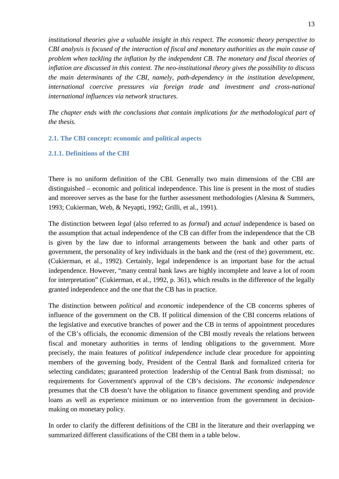*institutional theories give a valuable insight in this respect. The economic theory perspective to CBI analysis is focused of the interaction of fiscal and monetary authorities as the main cause of problem when tackling the inflation by the independent CB. The monetary and fiscal theories of inflation are discussed in this context. The neo-institutional theory gives the possibility to discuss the main determinants of the CBI, namely, path-dependency in the institution development, international coercive pressures via foreign trade and investment and cross-national international influences via network structures.*

*The chapter ends with the conclusions that contain implications for the methodological part of the thesis.*

## <span id="page-12-0"></span>**2.1. The CBI concept: economic and political aspects**

## <span id="page-12-1"></span>**2.1.1. Definitions of the CBI**

There is no uniform definition of the CBI. Generally two main dimensions of the CBI are distinguished – economic and political independence. This line is present in the most of studies and moreover serves as the base for the further assessment methodologies (Alesina & Summers, 1993; Cukierman, Web, & Neyapti, 1992; Grilli, et al., 1991).

The distinction between *legal* (also referred to as *formal*) and *actual* independence is based on the assumption that actual independence of the CB can differ from the independence that the CB is given by the law due to informal arrangements between the bank and other parts of government, the personality of key individuals in the bank and the (rest of the) government, etc. (Cukierman, et al., 1992). Certainly, legal independence is an important base for the actual independence. However, "many central bank laws are highly incomplete and leave a lot of room for interpretation" (Cukierman, et al., 1992, p. 361), which results in the difference of the legally granted independence and the one that the CB has in practice.

The distinction between *political* and *economic* independence of the CB concerns spheres of influence of the government on the CB. If political dimension of the CBI concerns relations of the legislative and executive branches of power and the CB in terms of appointment procedures of the CB's officials, the economic dimension of the CBI mostly reveals the relations between fiscal and monetary authorities in terms of lending obligations to the government. More precisely, the main features of *political independence* include clear procedure for appointing members of the governing body, President of the Central Bank and formalized criteria for selecting candidates; guaranteed protection leadership of the Central Bank from dismissal; no requirements for Government's approval of the CB's decisions. *The economic independence*  presumes that the CB doesn't have the obligation to finance government spending and provide loans as well as experience minimum or no intervention from the government in decisionmaking on monetary policy.

In order to clarify the different definitions of the CBI in the literature and their overlapping we summarized different classifications of the CBI them in a table below.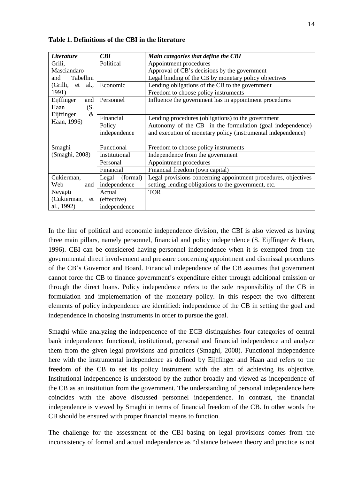| <i>Literature</i>   | CBI               | Main categories that define the CBI                            |
|---------------------|-------------------|----------------------------------------------------------------|
| Grili,              | Political         | Appointment procedures                                         |
| Masciandaro         |                   | Approval of CB's decisions by the government                   |
| Tabellini<br>and    |                   | Legal binding of the CB by monetary policy objectives          |
| (Grilli, et<br>al., | Economic          | Lending obligations of the CB to the government                |
| 1991)               |                   | Freedom to choose policy instruments                           |
| Eijffinger<br>and   | Personnel         | Influence the government has in appointment procedures         |
| Haan<br>(S.         |                   |                                                                |
| $\&$<br>Eijffinger  | Financial         | Lending procedures (obligations) to the government             |
| Haan, 1996)         | Policy            | Autonomy of the CB in the formulation (goal independence)      |
|                     | independence      | and execution of monetary policy (instrumental independence)   |
|                     |                   |                                                                |
| Smaghi              | Functional        | Freedom to choose policy instruments                           |
| (Smaghi, 2008)      | Institutional     | Independence from the government                               |
|                     | Personal          | Appointment procedures                                         |
|                     | Financial         | Financial freedom (own capital)                                |
| Cukierman,          | (formal)<br>Legal | Legal provisions concerning appointment procedures, objectives |
| Web<br>and          | independence      | setting, lending obligations to the government, etc.           |
| Neyapti             | Actual            | <b>TOR</b>                                                     |
| (Cukierman,<br>et   | (effective)       |                                                                |
| al., 1992)          | independence      |                                                                |

<span id="page-13-0"></span>**Table 1. Definitions of the CBI in the literature**

In the line of political and economic independence division, the CBI is also viewed as having three main pillars, namely personnel, financial and policy independence (S. Eijffinger & Haan, 1996). CBI can be considered having personnel independence when it is exempted from the governmental direct involvement and pressure concerning appointment and dismissal procedures of the CB's Governor and Board. Financial independence of the CB assumes that government cannot force the CB to finance government's expenditure either through additional emission or through the direct loans. Policy independence refers to the sole responsibility of the CB in formulation and implementation of the monetary policy. In this respect the two different elements of policy independence are identified: independence of the CB in setting the goal and independence in choosing instruments in order to pursue the goal.

Smaghi while analyzing the independence of the ECB distinguishes four categories of central bank independence: functional, institutional, personal and financial independence and analyze them from the given legal provisions and practices (Smaghi, 2008). Functional independence here with the instrumental independence as defined by Eijffinger and Haan and refers to the freedom of the CB to set its policy instrument with the aim of achieving its objective. Institutional independence is understood by the author broadly and viewed as independence of the CB as an institution from the government. The understanding of personal independence here coincides with the above discussed personnel independence. In contrast, the financial independence is viewed by Smaghi in terms of financial freedom of the CB. In other words the CB should be ensured with proper financial means to function.

The challenge for the assessment of the CBI basing on legal provisions comes from the inconsistency of formal and actual independence as "distance between theory and practice is not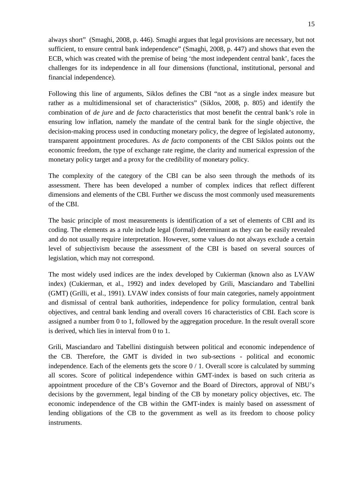always short" (Smaghi, 2008, p. 446). Smaghi argues that legal provisions are necessary, but not sufficient, to ensure central bank independence" (Smaghi, 2008, p. 447) and shows that even the ECB, which was created with the premise of being 'the most independent central bank', faces the challenges for its independence in all four dimensions (functional, institutional, personal and financial independence).

Following this line of arguments, Siklos defines the CBI "not as a single index measure but rather as a multidimensional set of characteristics" (Siklos, 2008, p. 805) and identify the combination of *de jure* and *de facto* characteristics that most benefit the central bank's role in ensuring low inflation, namely the mandate of the central bank for the single objective, the decision-making process used in conducting monetary policy, the degree of legislated autonomy, transparent appointment procedures. As *de facto* components of the CBI Siklos points out the economic freedom, the type of exchange rate regime, the clarity and numerical expression of the monetary policy target and a proxy for the credibility of monetary policy.

The complexity of the category of the CBI can be also seen through the methods of its assessment. There has been developed a number of complex indices that reflect different dimensions and elements of the CBI. Further we discuss the most commonly used measurements of the CBI.

The basic principle of most measurements is identification of a set of elements of CBI and its coding. The elements as a rule include legal (formal) determinant as they can be easily revealed and do not usually require interpretation. However, some values do not always exclude a certain level of subjectivism because the assessment of the CBI is based on several sources of legislation, which may not correspond.

The most widely used indices are the index developed by Cukierman (known also as LVAW index) (Cukierman, et al., 1992) and index developed by Grili, Masciandaro and Tabellini (GMT) (Grilli, et al., 1991). LVAW index consists of four main categories, namely appointment and dismissal of central bank authorities, independence for policy formulation, central bank objectives, and central bank lending and overall covers 16 characteristics of CBI. Each score is assigned a number from 0 to 1, followed by the aggregation procedure. In the result overall score is derived, which lies in interval from 0 to 1.

Grili, Masciandaro and Tabellini distinguish between political and economic independence of the CB. Therefore, the GMT is divided in two sub-sections - political and economic independence. Each of the elements gets the score  $0/1$ . Overall score is calculated by summing all scores. Score of political independence within GMT-index is based on such criteria as appointment procedure of the CB's Governor and the Board of Directors, approval of NBU's decisions by the government, legal binding of the CB by monetary policy objectives, etc. The economic independence of the CB within the GMT-index is mainly based on assessment of lending obligations of the CB to the government as well as its freedom to choose policy instruments.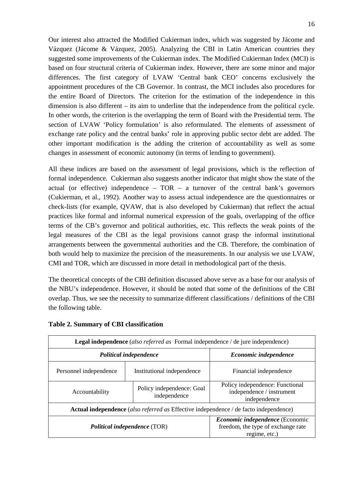Our interest also attracted the Modified Cukierman index, which was suggested by Jácome and Vázquez (Jácome & Vázquez, 2005). Analyzing the CBI in Latin American countries they suggested some improvements of the Cukierman index. The Modified Cukierman Index (MCI) is based on four structural criteria of Cukierman index. However, there are some minor and major differences. The first category of LVAW 'Central bank CEO' concerns exclusively the appointment procedures of the CB Governor. In contrast, the MCI includes also procedures for the entire Board of Directors. The criterion for the estimation of the independence in this dimension is also different – its aim to underline that the independence from the political cycle. In other words, the criterion is the overlapping the term of Board with the Presidential term. The section of LVAW 'Policy formulation' is also reformulated. The elements of assessment of exchange rate policy and the central banks' role in approving public sector debt are added. The other important modification is the adding the criterion of accountability as well as some changes in assessment of economic autonomy (in terms of lending to government).

All these indices are based on the assessment of legal provisions, which is the reflection of formal independence. Cukierman also suggests another indicator that might show the state of the actual (or effective) independence –  $TOR - a$  turnover of the central bank's governors (Cukierman, et al., 1992). Another way to assess actual independence are the questionnaires or check-lists (for example, QVAW, that is also developed by Cukierman) that reflect the actual practices like formal and informal numerical expression of the goals, overlapping of the office terms of the CB's governor and political authorities, etc. This reflects the weak points of the legal measures of the CBI as the legal provisions cannot grasp the informal institutional arrangements between the governmental authorities and the CB. Therefore, the combination of both would help to maximize the precision of the measurements. In our analysis we use LVAW, CMI and TOR, which are discussed in more detail in methodological part of the thesis.

The theoretical concepts of the CBI definition discussed above serve as a base for our analysis of the NBU's independence. However, it should be noted that some of the definitions of the CBI overlap. Thus, we see the necessity to summarize different classifications / definitions of the CBI the following table.

| <b>Legal independence</b> (also referred as Formal independence) de jure independence)       |                                     |                                                                                               |  |  |  |
|----------------------------------------------------------------------------------------------|-------------------------------------|-----------------------------------------------------------------------------------------------|--|--|--|
|                                                                                              | Political independence              | Economic independence                                                                         |  |  |  |
| Institutional independence<br>Personnel independence                                         |                                     | Financial independence                                                                        |  |  |  |
| Policy independence: Goal<br>Accountability<br>independence                                  |                                     | Policy independence: Functional<br>independence / instrument<br>independence                  |  |  |  |
| <b>Actual independence</b> (also referred as Effective independence / de facto independence) |                                     |                                                                                               |  |  |  |
|                                                                                              | <b>Political independence (TOR)</b> | <i>Economic independence</i> (Economic<br>freedom, the type of exchange rate<br>regime, etc.) |  |  |  |

<span id="page-15-0"></span>**Table 2. Summary of CBI classification**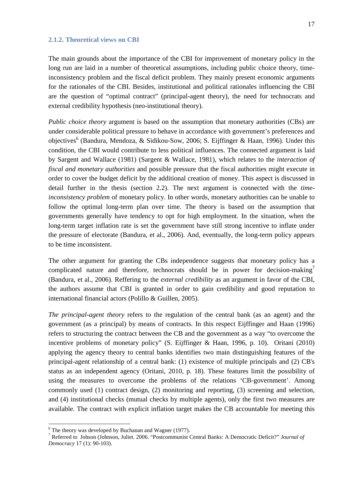#### <span id="page-16-0"></span>**2.1.2. Theoretical views on CBI**

The main grounds about the importance of the CBI for improvement of monetary policy in the long run are laid in a number of theoretical assumptions, including public choice theory, timeinconsistency problem and the fiscal deficit problem. They mainly present economic arguments for the rationales of the CBI. Besides, institutional and political rationales influencing the CBI are the question of "optimal contract" (principal-agent theory), the need for technocrats and external credibility hypothesis (neo-institutional theory).

*Public choice theory* argument is based on the assumption that monetary authorities (CBs) are under considerable political pressure to behave in accordance with government's preferences and objectives<sup>6</sup> (Bandura, Mendoza, & Sidikou-Sow, 2006; S. Eijffinger & Haan, 1996). Under this condition, the CBI would contribute to less political influences. The connected argument is laid by Sargent and Wallace (1981) (Sargent & Wallace, 1981), which relates to the *interaction of fiscal and monetary authorities* and possible pressure that the fiscal authorities might execute in order to cover the budget deficit by the additional creation of money. This aspect is discussed in detail further in the thesis (section 2.2). The next argument is connected with the *timeinconsistency problem* of monetary policy. In other words, monetary authorities can be unable to follow the optimal long-term plan over time. The theory is based on the assumption that governments generally have tendency to opt for high employment. In the situation, when the long-term target inflation rate is set the government have still strong incentive to inflate under the pressure of electorate (Bandura, et al., 2006). And, eventually, the long-term policy appears to be time inconsistent.

The other argument for granting the CBs independence suggests that monetary policy has a complicated nature and therefore, technocrats should be in power for decision-making<sup>7</sup> (Bandura, et al., 2006). Reffering to the *external credibility* as an argument in favor of the CBI, the authors assume that CBI is granted in order to gain credibility and good reputation to international financial actors (Polillo & Guillen, 2005).

*The principal-agent theory* refers to the regulation of the central bank (as an agent) and the government (as a principal) by means of contracts. In this respect Eijffinger and Haan (1996) refers to structuring the contract between the CB and the government as a way "to overcome the incentive problems of monetary policy" (S. Eijffinger & Haan, 1996, p. 10). Oritani (2010) applying the agency theory to central banks identifies two main distinguishing features of the principal-agent relationship of a central bank: (1) existence of multiple principals and (2) CB's status as an independent agency (Oritani, 2010, p. 18). These features limit the possibility of using the measures to overcome the problems of the relations 'CB-government'. Among commonly used (1) contract design, (2) monitoring and reporting, (3) screening and selection, and (4) institutional checks (mutual checks by multiple agents), only the first two measures are available. The contract with explicit inflation target makes the CB accountable for meeting this

 $6$  The theory was developed by Buchanan and Wagner (1977).

<sup>7</sup> Referred to Johson (Johnson, Juliet. 2006. "Postcommunist Central Banks: A Democratic Deficit?" *Journal of Democracy* 17 (1): 90-103).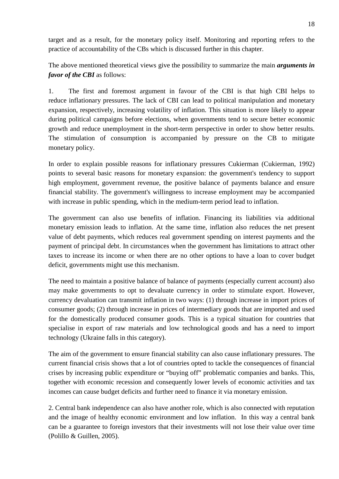target and as a result, for the monetary policy itself. Monitoring and reporting refers to the practice of accountability of the CBs which is discussed further in this chapter.

The above mentioned theoretical views give the possibility to summarize the main *arguments in favor of the CBI* as follows:

1. The first and foremost argument in favour of the CBI is that high CBI helps to reduce inflationary pressures. The lack of CBI can lead to political manipulation and monetary expansion, respectively, increasing volatility of inflation. This situation is more likely to appear during political campaigns before elections, when governments tend to secure better economic growth and reduce unemployment in the short-term perspective in order to show better results. The stimulation of consumption is accompanied by pressure on the CB to mitigate monetary policy.

In order to explain possible reasons for inflationary pressures Cukierman (Cukierman, 1992) points to several basic reasons for monetary expansion: the government's tendency to support high employment, government revenue, the positive balance of payments balance and ensure financial stability. The government's willingness to increase employment may be accompanied with increase in public spending, which in the medium-term period lead to inflation.

The government can also use benefits of inflation. Financing its liabilities via additional monetary emission leads to inflation. At the same time, inflation also reduces the net present value of debt payments, which reduces real government spending on interest payments and the payment of principal debt. In circumstances when the government has limitations to attract other taxes to increase its income or when there are no other options to have a loan to cover budget deficit, governments might use this mechanism.

The need to maintain a positive balance of balance of payments (especially current account) also may make governments to opt to devaluate currency in order to stimulate export. However, currency devaluation can transmit inflation in two ways: (1) through increase in import prices of consumer goods; (2) through increase in prices of intermediary goods that are imported and used for the domestically produced consumer goods. This is a typical situation for countries that specialise in export of raw materials and low technological goods and has a need to import technology (Ukraine falls in this category).

The aim of the government to ensure financial stability can also cause inflationary pressures. The current financial crisis shows that a lot of countries opted to tackle the consequences of financial crises by increasing public expenditure or "buying off" problematic companies and banks. This, together with economic recession and consequently lower levels of economic activities and tax incomes can cause budget deficits and further need to finance it via monetary emission.

2. Central bank independence can also have another role, which is also connected with reputation and the image of healthy economic environment and low inflation. In this way a central bank can be a guarantee to foreign investors that their investments will not lose their value over time (Polillo & Guillen, 2005).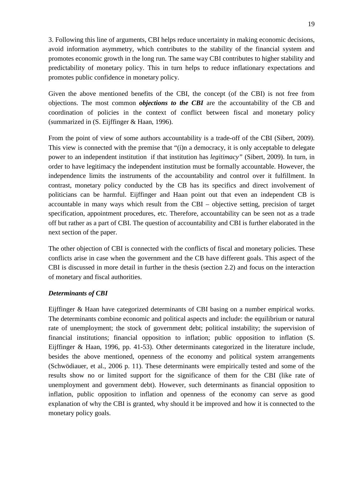3. Following this line of arguments, CBI helps reduce uncertainty in making economic decisions, avoid information asymmetry, which contributes to the stability of the financial system and promotes economic growth in the long run. The same way CBI contributes to higher stability and predictability of monetary policy. This in turn helps to reduce inflationary expectations and promotes public confidence in monetary policy.

Given the above mentioned benefits of the CBI, the concept (of the CBI) is not free from objections. The most common *objections to the CBI* are the accountability of the CB and coordination of policies in the context of conflict between fiscal and monetary policy (summarized in (S. Eijffinger & Haan, 1996).

From the point of view of some authors accountability is a trade-off of the CBI (Sibert, 2009). This view is connected with the premise that "(i)n a democracy, it is only acceptable to delegate power to an independent institution if that institution has *legitimacy"* (Sibert, 2009). In turn, in order to have legitimacy the independent institution must be formally accountable. However, the independence limits the instruments of the accountability and control over it fulfillment. In contrast, monetary policy conducted by the CB has its specifics and direct involvement of politicians can be harmful. Eijffinger and Haan point out that even an independent CB is accountable in many ways which result from the CBI – objective setting, precision of target specification, appointment procedures, etc. Therefore, accountability can be seen not as a trade off but rather as a part of CBI. The question of accountability and CBI is further elaborated in the next section of the paper.

The other objection of CBI is connected with the conflicts of fiscal and monetary policies. These conflicts arise in case when the government and the CB have different goals. This aspect of the CBI is discussed in more detail in further in the thesis (section 2.2) and focus on the interaction of monetary and fiscal authorities.

## *Determinants of CBI*

Eijffinger & Haan have categorized determinants of CBI basing on a number empirical works. The determinants combine economic and political aspects and include: the equilibrium or natural rate of unemployment; the stock of government debt; political instability; the supervision of financial institutions; financial opposition to inflation; public opposition to inflation (S. Eijffinger & Haan, 1996, pp. 41-53). Other determinants categorized in the literature include, besides the above mentioned, openness of the economy and political system arrangements (Schwödiauer, et al., 2006 p. 11). These determinants were empirically tested and some of the results show no or limited support for the significance of them for the CBI (like rate of unemployment and government debt). However, such determinants as financial opposition to inflation, public opposition to inflation and openness of the economy can serve as good explanation of why the CBI is granted, why should it be improved and how it is connected to the monetary policy goals.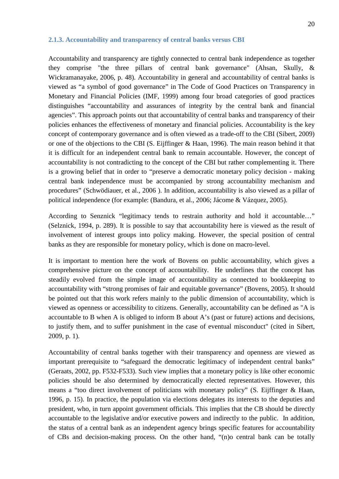#### <span id="page-19-0"></span>**2.1.3. Accountability and transparency of central banks versus CBI**

Accountability and transparency are tightly connected to central bank independence as together they comprise "the three pillars of central bank governance" (Ahsan, Skully, & Wickramanayake, 2006, p. 48). Accountability in general and accountability of central banks is viewed as "a symbol of good governance" in The Code of Good Practices on Transparency in Monetary and Financial Policies (IMF, 1999) among four broad categories of good practices distinguishes "accountability and assurances of integrity by the central bank and financial agencies". This approach points out that accountability of central banks and transparency of their policies enhances the effectiveness of monetary and financial policies. Accountability is the key concept of contemporary governance and is often viewed as a trade-off to the CBI (Sibert, 2009) or one of the objections to the CBI (S. Eijffinger & Haan, 1996). The main reason behind it that it is difficult for an independent central bank to remain accountable. However, the concept of accountability is not contradicting to the concept of the CBI but rather complementing it. There is a growing belief that in order to "preserve a democratic monetary policy decision - making central bank independence must be accompanied by strong accountability mechanism and procedures" (Schwödiauer, et al., 2006 ). In addition, accountability is also viewed as a pillar of political independence (for example: (Bandura, et al., 2006; Jácome & Vázquez, 2005).

According to Senznick "legitimacy tends to restrain authority and hold it accountable…" (Selznick, 1994, p. 289). It is possible to say that accountability here is viewed as the result of involvement of interest groups into policy making. However, the special position of central banks as they are responsible for monetary policy, which is done on macro-level.

It is important to mention here the work of Bovens on public accountability, which gives a comprehensive picture on the concept of accountability. He underlines that the concept has steadily evolved from the simple image of accountability as connected to bookkeeping to accountability with "strong promises of fair and equitable governance" (Bovens, 2005). It should be pointed out that this work refers mainly to the public dimension of accountability, which is viewed as openness or accessibility to citizens. Generally, accountability can be defined as "A is accountable to B when A is obliged to inform B about A's (past or future) actions and decisions, to justify them, and to suffer punishment in the case of eventual misconduct" (cited in Sibert, 2009, p. 1).

Accountability of central banks together with their transparency and openness are viewed as important prerequisite to "safeguard the democratic legitimacy of independent central banks" (Geraats, 2002, pp. F532-F533). Such view implies that a monetary policy is like other economic policies should be also determined by democratically elected representatives. However, this means a "too direct involvement of politicians with monetary policy" (S. Eijffinger & Haan, 1996, p. 15). In practice, the population via elections delegates its interests to the deputies and president, who, in turn appoint government officials. This implies that the CB should be directly accountable to the legislative and/or executive powers and indirectly to the public. In addition, the status of a central bank as an independent agency brings specific features for accountability of CBs and decision-making process. On the other hand, "(n)o central bank can be totally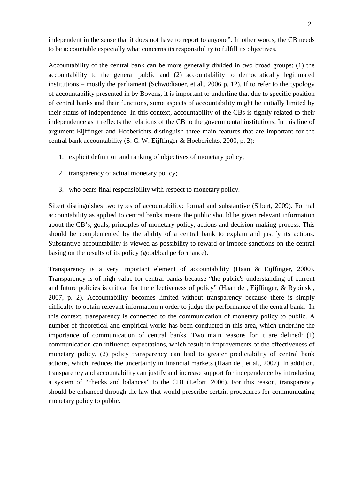independent in the sense that it does not have to report to anyone". In other words, the CB needs to be accountable especially what concerns its responsibility to fulfill its objectives.

Accountability of the central bank can be more generally divided in two broad groups: (1) the accountability to the general public and (2) accountability to democratically legitimated institutions – mostly the parliament (Schwödiauer, et al., 2006 p. 12). If to refer to the typology of accountability presented in by Bovens, it is important to underline that due to specific position of central banks and their functions, some aspects of accountability might be initially limited by their status of independence. In this context, accountability of the CBs is tightly related to their independence as it reflects the relations of the CB to the governmental institutions. In this line of argument Eijffinger and Hoeberichts distinguish three main features that are important for the central bank accountability (S. C. W. Eijffinger & Hoeberichts, 2000, p. 2):

- 1. explicit definition and ranking of objectives of monetary policy;
- 2. transparency of actual monetary policy;
- 3. who bears final responsibility with respect to monetary policy.

Sibert distinguishes two types of accountability: formal and substantive (Sibert, 2009). Formal accountability as applied to central banks means the public should be given relevant information about the CB's, goals, principles of monetary policy, actions and decision-making process. This should be complemented by the ability of a central bank to explain and justify its actions. Substantive accountability is viewed as possibility to reward or impose sanctions on the central basing on the results of its policy (good/bad performance).

Transparency is a very important element of accountability (Haan & Eijffinger, 2000). Transparency is of high value for central banks because "the public's understanding of current and future policies is critical for the effectiveness of policy" (Haan de , Eijffinger, & Rybinski, 2007, p. 2). Accountability becomes limited without transparency because there is simply difficulty to obtain relevant information n order to judge the performance of the central bank. In this context, transparency is connected to the communication of monetary policy to public. A number of theoretical and empirical works has been conducted in this area, which underline the importance of communication of central banks. Two main reasons for it are defined: (1) communication can influence expectations, which result in improvements of the effectiveness of monetary policy, (2) policy transparency can lead to greater predictability of central bank actions, which, reduces the uncertainty in financial markets (Haan de , et al., 2007). In addition, transparency and accountability can justify and increase support for independence by introducing a system of "checks and balances" to the CBI (Lefort, 2006). For this reason, transparency should be enhanced through the law that would prescribe certain procedures for communicating monetary policy to public.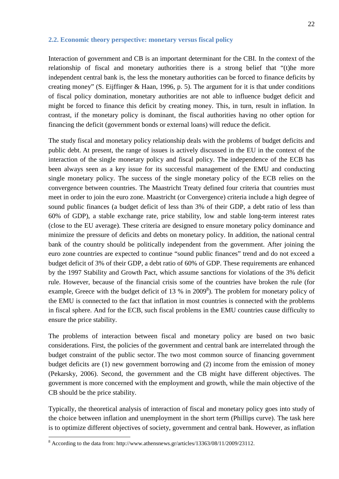#### <span id="page-21-0"></span>**2.2. Economic theory perspective: monetary versus fiscal policy**

Interaction of government and CB is an important determinant for the CBI. In the context of the relationship of fiscal and monetary authorities there is a strong belief that "(t)he more independent central bank is, the less the monetary authorities can be forced to finance deficits by creating money" (S. Eijffinger & Haan, 1996, p. 5). The argument for it is that under conditions of fiscal policy domination, monetary authorities are not able to influence budget deficit and might be forced to finance this deficit by creating money. This, in turn, result in inflation. In contrast, if the monetary policy is dominant, the fiscal authorities having no other option for financing the deficit (government bonds or external loans) will reduce the deficit.

The study fiscal and monetary policy relationship deals with the problems of budget deficits and public debt. At present, the range of issues is actively discussed in the EU in the context of the interaction of the single monetary policy and fiscal policy. The independence of the ECB has been always seen as a key issue for its successful management of the EMU and conducting single monetary policy. The success of the single monetary policy of the ECB relies on the convergence between countries. The Maastricht Treaty defined four criteria that countries must meet in order to join the euro zone. Maastricht (or Convergence) criteria include a high degree of sound public finances (a budget deficit of less than 3% of their GDP, a debt ratio of less than 60% of GDP), a stable exchange rate, price stability, low and stable long-term interest rates (close to the EU average). These criteria are designed to ensure monetary policy dominance and minimize the pressure of deficits and debts on monetary policy. In addition, the national central bank of the country should be politically independent from the government. After joining the euro zone countries are expected to continue "sound public finances" trend and do not exceed a budget deficit of 3% of their GDP, a debt ratio of 60% of GDP. These requirements are enhanced by the 1997 Stability and Growth Pact, which assume sanctions for violations of the 3% deficit rule. However, because of the financial crisis some of the countries have broken the rule (for example, Greece with the budget deficit of 13 % in  $2009<sup>8</sup>$ ). The problem for monetary policy of the EMU is connected to the fact that inflation in most countries is connected with the problems in fiscal sphere. And for the ECB, such fiscal problems in the EMU countries cause difficulty to ensure the price stability.

The problems of interaction between fiscal and monetary policy are based on two basic considerations. First, the policies of the government and central bank are interrelated through the budget constraint of the public sector. The two most common source of financing government budget deficits are (1) new government borrowing and (2) income from the emission of money (Pekarsky, 2006). Second, the government and the CB might have different objectives. The government is more concerned with the employment and growth, while the main objective of the CB should be the price stability.

Typically, the theoretical analysis of interaction of fiscal and monetary policy goes into study of the choice between inflation and unemployment in the short term (Phillips curve). The task here is to optimize different objectives of society, government and central bank. However, as inflation

 <sup>8</sup> According to the data from: http://www.athensnews.gr/articles/13363/08/11/2009/23112.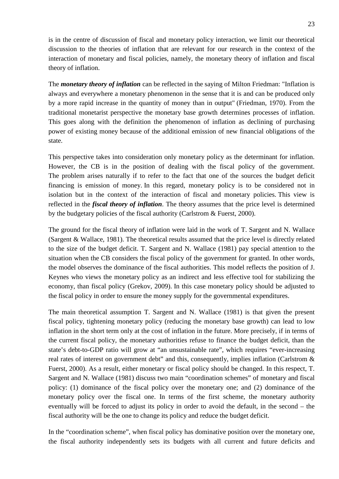is in the centre of discussion of fiscal and monetary policy interaction, we limit our theoretical discussion to the theories of inflation that are relevant for our research in the context of the interaction of monetary and fiscal policies, namely, the monetary theory of inflation and fiscal theory of inflation.

The *monetary theory of inflation* can be reflected in the saying of Milton Friedman: "Inflation is always and everywhere a monetary phenomenon in the sense that it is and can be produced only by a more rapid increase in the quantity of money than in output" (Friedman, 1970). From the traditional monetarist perspective the monetary base growth determines processes of inflation. This goes along with the definition the phenomenon of inflation as declining of purchasing power of existing money because of the additional emission of new financial obligations of the state.

This perspective takes into consideration only monetary policy as the determinant for inflation. However, the CB is in the position of dealing with the fiscal policy of the government. The problem arises naturally if to refer to the fact that one of the sources the budget deficit financing is emission of money. In this regard, monetary policy is to be considered not in isolation but in the context of the interaction of fiscal and monetary policies. This view is reflected in the *fiscal theory of inflation*. The theory assumes that the price level is determined by the budgetary policies of the fiscal authority (Carlstrom & Fuerst, 2000).

The ground for the fiscal theory of inflation were laid in the work of T. Sargent and N. Wallace (Sargent & Wallace, 1981). The theoretical results assumed that the price level is directly related to the size of the budget deficit. T. Sargent and N. Wallace (1981) pay special attention to the situation when the CB considers the fiscal policy of the government for granted. In other words, the model observes the dominance of the fiscal authorities. This model reflects the position of J. Keynes who views the monetary policy as an indirect and less effective tool for stabilizing the economy, than fiscal policy (Grekov, 2009). In this case monetary policy should be adjusted to the fiscal policy in order to ensure the money supply for the governmental expenditures.

The main theoretical assumption T. Sargent and N. Wallace (1981) is that given the present fiscal policy, tightening monetary policy (reducing the monetary base growth) can lead to low inflation in the short term only at the cost of inflation in the future. More precisely, if in terms of the current fiscal policy, the monetary authorities refuse to finance the budget deficit, than the state's debt-to-GDP ratio will grow at "an unsustainable rate", which requires "ever-increasing real rates of interest on government debt" and this, consequently, implies inflation (Carlstrom & Fuerst, 2000). As a result, either monetary or fiscal policy should be changed. In this respect, T. Sargent and N. Wallace (1981) discuss two main "coordination schemes" of monetary and fiscal policy: (1) dominance of the fiscal policy over the monetary one; and (2) dominance of the monetary policy over the fiscal one. In terms of the first scheme, the monetary authority eventually will be forced to adjust its policy in order to avoid the default, in the second – the fiscal authority will be the one to change its policy and reduce the budget deficit.

In the "coordination scheme", when fiscal policy has dominative position over the monetary one, the fiscal authority independently sets its budgets with all current and future deficits and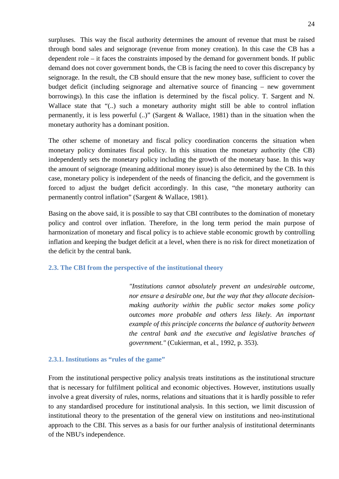surpluses. This way the fiscal authority determines the amount of revenue that must be raised through bond sales and seignorage (revenue from money creation). In this case the CB has a dependent role – it faces the constraints imposed by the demand for government bonds. If public demand does not cover government bonds, the CB is facing the need to cover this discrepancy by seignorage. In the result, the CB should ensure that the new money base, sufficient to cover the budget deficit (including seignorage and alternative source of financing – new government borrowings). In this case the inflation is determined by the fiscal policy. T. Sargent and N. Wallace state that "(..) such a monetary authority might still be able to control inflation permanently, it is less powerful (..)" (Sargent & Wallace, 1981) than in the situation when the monetary authority has a dominant position.

The other scheme of monetary and fiscal policy coordination concerns the situation when monetary policy dominates fiscal policy. In this situation the monetary authority (the CB) independently sets the monetary policy including the growth of the monetary base. In this way the amount of seignorage (meaning additional money issue) is also determined by the CB. In this case, monetary policy is independent of the needs of financing the deficit, and the government is forced to adjust the budget deficit accordingly. In this case, "the monetary authority can permanently control inflation" (Sargent & Wallace, 1981).

Basing on the above said, it is possible to say that CBI contributes to the domination of monetary policy and control over inflation. Therefore, in the long term period the main purpose of harmonization of monetary and fiscal policy is to achieve stable economic growth by controlling inflation and keeping the budget deficit at a level, when there is no risk for direct monetization of the deficit by the central bank.

## <span id="page-23-0"></span>**2.3. The CBI from the perspective of the institutional theory**

*"Institutions cannot absolutely prevent an undesirable outcome, nor ensure a desirable one, but the way that they allocate decisionmaking authority within the public sector makes some policy outcomes more probable and others less likely. An important example of this principle concerns the balance of authority between the central bank and the executive and legislative branches of government."* (Cukierman, et al., 1992, p. 353).

## <span id="page-23-1"></span>**2.3.1. Institutions as "rules of the game"**

From the institutional perspective policy analysis treats institutions as the institutional structure that is necessary for fulfilment political and economic objectives. However, institutions usually involve a great diversity of rules, norms, relations and situations that it is hardly possible to refer to any standardised procedure for institutional analysis. In this section, we limit discussion of institutional theory to the presentation of the general view on institutions and neo-institutional approach to the CBI. This serves as a basis for our further analysis of institutional determinants of the NBU's independence.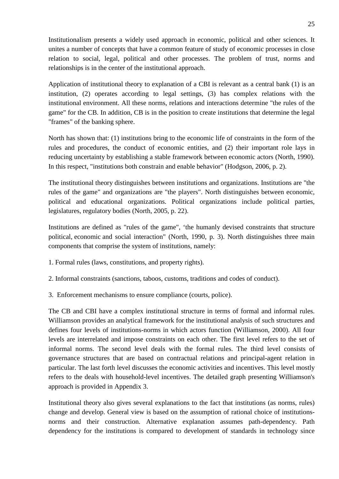Institutionalism presents a widely used approach in economic, political and other sciences. It unites a number of concepts that have a common feature of study of economic processes in close relation to social, legal, political and other processes. The problem of trust, norms and relationships is in the center of the institutional approach.

Application of institutional theory to explanation of a CBI is relevant as a central bank (1) is an institution, (2) operates according to legal settings, (3) has complex relations with the institutional environment. All these norms, relations and interactions determine "the rules of the game" for the CB. In addition, CB is in the position to create institutions that determine the legal "frames" of the banking sphere.

North has shown that: (1) institutions bring to the economic life of constraints in the form of the rules and procedures, the conduct of economic entities, and (2) their important role lays in reducing uncertainty by establishing a stable framework between economic actors (North, 1990). In this respect, "institutions both constrain and enable behavior" (Hodgson, 2006, p. 2).

The institutional theory distinguishes between institutions and organizations. Institutions are "the rules of the game" and organizations are "the players". North distinguishes between economic, political and educational organizations. Political organizations include political parties, legislatures, regulatory bodies (North, 2005, p. 22).

Institutions are defined as "rules of the game", 'the humanly devised constraints that structure political, economic and social interaction" (North, 1990, p. 3). North distinguishes three main components that comprise the system of institutions, namely:

- 1. Formal rules (laws, constitutions, and property rights).
- 2. Informal constraints (sanctions, taboos, customs, traditions and codes of conduct).
- 3. Enforcement mechanisms to ensure compliance (courts, police).

The CB and CBI have a complex institutional structure in terms of formal and informal rules. Williamson provides an analytical framework for the institutional analysis of such structures and defines four levels of institutions-norms in which actors function (Williamson, 2000). All four levels are interrelated and impose constraints on each other. The first level refers to the set of informal norms. The second level deals with the formal rules. The third level consists of governance structures that are based on contractual relations and principal-agent relation in particular. The last forth level discusses the economic activities and incentives. This level mostly refers to the deals with household-level incentives. The detailed graph presenting Williamson's approach is provided in [Appendix 3.](#page-69-0)

Institutional theory also gives several explanations to the fact that institutions (as norms, rules) change and develop. General view is based on the assumption of rational choice of institutionsnorms and their construction. Alternative explanation assumes path-dependency. Path dependency for the institutions is compared to development of standards in technology since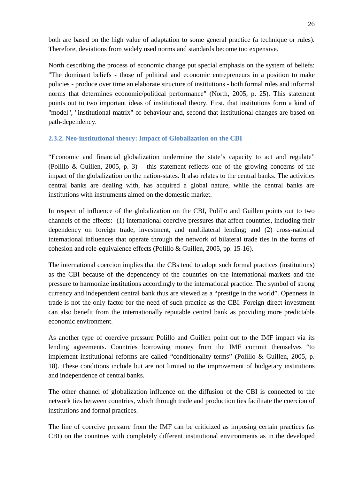both are based on the high value of adaptation to some general practice (a technique or rules). Therefore, deviations from widely used norms and standards become too expensive.

North describing the process of economic change put special emphasis on the system of beliefs: "The dominant beliefs - those of political and economic entrepreneurs in a position to make policies - produce over time an elaborate structure of institutions - both formal rules and informal norms that determines economic/political performance" (North, 2005, p. 25). This statement points out to two important ideas of institutional theory. First, that institutions form a kind of "model", "institutional matrix" of behaviour and, second that institutional changes are based on path-dependency.

# <span id="page-25-0"></span>**2.3.2. Neo-institutional theory: Impact of Globalization on the CBI**

"Economic and financial globalization undermine the state's capacity to act and regulate" (Polillo & Guillen, 2005, p. 3) – this statement reflects one of the growing concerns of the impact of the globalization on the nation-states. It also relates to the central banks. The activities central banks are dealing with, has acquired a global nature, while the central banks are institutions with instruments aimed on the domestic market.

In respect of influence of the globalization on the CBI, Polillo and Guillen points out to two channels of the effects: (1) international coercive pressures that affect countries, including their dependency on foreign trade, investment, and multilateral lending; and (2) cross-national international influences that operate through the network of bilateral trade ties in the forms of cohesion and role-equivalence effects (Polillo & Guillen, 2005, pp. 15-16).

The international coercion implies that the CBs tend to adopt such formal practices (institutions) as the CBI because of the dependency of the countries on the international markets and the pressure to harmonize institutions accordingly to the international practice. The symbol of strong currency and independent central bank thus are viewed as a "prestige in the world". Openness in trade is not the only factor for the need of such practice as the CBI. Foreign direct investment can also benefit from the internationally reputable central bank as providing more predictable economic environment.

As another type of coercive pressure Polillo and Guillen point out to the IMF impact via its lending agreements. Countries borrowing money from the IMF commit themselves "to implement institutional reforms are called "conditionality terms" (Polillo & Guillen, 2005, p. 18). These conditions include but are not limited to the improvement of budgetary institutions and independence of central banks.

The other channel of globalization influence on the diffusion of the CBI is connected to the network ties between countries, which through trade and production ties facilitate the coercion of institutions and formal practices.

The line of coercive pressure from the IMF can be criticized as imposing certain practices (as CBI) on the countries with completely different institutional environments as in the developed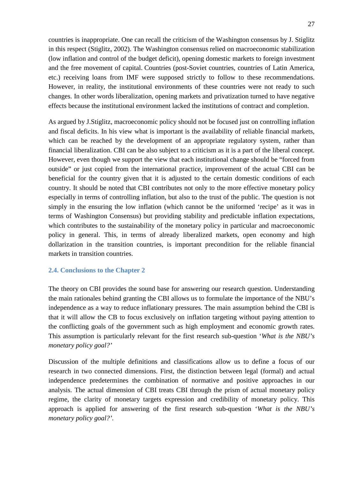countries is inappropriate. One can recall the criticism of the Washington consensus by J. Stiglitz in this respect (Stiglitz, 2002). The Washington consensus relied on macroeconomic stabilization (low inflation and control of the budget deficit), opening domestic markets to foreign investment and the free movement of capital. Countries (post-Soviet countries, countries of Latin America, etc.) receiving loans from IMF were supposed strictly to follow to these recommendations. However, in reality, the institutional environments of these countries were not ready to such changes. In other words liberalization, opening markets and privatization turned to have negative effects because the institutional environment lacked the institutions of contract and completion.

As argued by J.Stiglitz, macroeconomic policy should not be focused just on controlling inflation and fiscal deficits. In his view what is important is the availability of reliable financial markets, which can be reached by the development of an appropriate regulatory system, rather than financial liberalization. CBI can be also subject to a criticism as it is a part of the liberal concept. However, even though we support the view that each institutional change should be "forced from outside" or just copied from the international practice, improvement of the actual CBI can be beneficial for the country given that it is adjusted to the certain domestic conditions of each country. It should be noted that CBI contributes not only to the more effective monetary policy especially in terms of controlling inflation, but also to the trust of the public. The question is not simply in the ensuring the low inflation (which cannot be the uniformed 'recipe' as it was in terms of Washington Consensus) but providing stability and predictable inflation expectations, which contributes to the sustainability of the monetary policy in particular and macroeconomic policy in general. This, in terms of already liberalized markets, open economy and high dollarization in the transition countries, is important precondition for the reliable financial markets in transition countries.

## <span id="page-26-0"></span>**2.4. Conclusions to the Chapter 2**

The theory on CBI provides the sound base for answering our research question. Understanding the main rationales behind granting the CBI allows us to formulate the importance of the NBU's independence as a way to reduce inflationary pressures. The main assumption behind the CBI is that it will allow the CB to focus exclusively on inflation targeting without paying attention to the conflicting goals of the government such as high employment and economic growth rates. This assumption is particularly relevant for the first research sub-question '*What is the NBU's monetary policy goal?'*

Discussion of the multiple definitions and classifications allow us to define a focus of our research in two connected dimensions. First, the distinction between legal (formal) and actual independence predetermines the combination of normative and positive approaches in our analysis. The actual dimension of CBI treats CBI through the prism of actual monetary policy regime, the clarity of monetary targets expression and credibility of monetary policy. This approach is applied for answering of the first research sub-question '*What is the NBU's monetary policy goal?'.*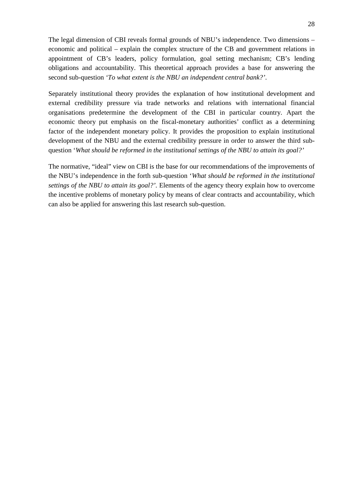The legal dimension of CBI reveals formal grounds of NBU's independence. Two dimensions – economic and political – explain the complex structure of the CB and government relations in appointment of CB's leaders, policy formulation, goal setting mechanism; CB's lending obligations and accountability. This theoretical approach provides a base for answering the second sub-question *'To what extent is the NBU an independent central bank?'*.

Separately institutional theory provides the explanation of how institutional development and external credibility pressure via trade networks and relations with international financial organisations predetermine the development of the CBI in particular country. Apart the economic theory put emphasis on the fiscal-monetary authorities' conflict as a determining factor of the independent monetary policy. It provides the proposition to explain institutional development of the NBU and the external credibility pressure in order to answer the third subquestion '*What should be reformed in the institutional settings of the NBU to attain its goal?'* 

The normative, "ideal" view on CBI is the base for our recommendations of the improvements of the NBU's independence in the forth sub-question '*What should be reformed in the institutional settings of the NBU to attain its goal?'.* Elements of the agency theory explain how to overcome the incentive problems of monetary policy by means of clear contracts and accountability, which can also be applied for answering this last research sub-question.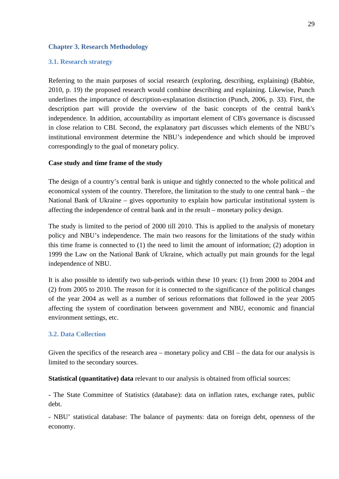## <span id="page-28-0"></span>**Chapter 3. Research Methodology**

## <span id="page-28-1"></span>**3.1. Research strategy**

Referring to the main purposes of social research (exploring, describing, explaining) (Babbie, 2010, p. 19) the proposed research would combine describing and explaining. Likewise, Punch underlines the importance of description-explanation distinction (Punch, 2006, p. 33). First, the description part will provide the overview of the basic concepts of the central bank's independence. In addition, accountability as important element of CB's governance is discussed in close relation to CBI. Second, the explanatory part discusses which elements of the NBU's institutional environment determine the NBU's independence and which should be improved correspondingly to the goal of monetary policy.

# **Case study and time frame of the study**

The design of a country's central bank is unique and tightly connected to the whole political and economical system of the country. Therefore, the limitation to the study to one central bank – the National Bank of Ukraine – gives opportunity to explain how particular institutional system is affecting the independence of central bank and in the result – monetary policy design.

The study is limited to the period of 2000 till 2010. This is applied to the analysis of monetary policy and NBU's independence. The main two reasons for the limitations of the study within this time frame is connected to (1) the need to limit the amount of information; (2) adoption in 1999 the Law on the National Bank of Ukraine, which actually put main grounds for the legal independence of NBU.

It is also possible to identify two sub-periods within these 10 years: (1) from 2000 to 2004 and (2) from 2005 to 2010. The reason for it is connected to the significance of the political changes of the year 2004 as well as a number of serious reformations that followed in the year 2005 affecting the system of coordination between government and NBU, economic and financial environment settings, etc.

## <span id="page-28-2"></span>**3.2. Data Collection**

Given the specifics of the research area – monetary policy and CBI – the data for our analysis is limited to the secondary sources.

**Statistical (quantitative) data** relevant to our analysis is obtained from official sources:

- The State Committee of Statistics (database): data on inflation rates, exchange rates, public debt.

- NBU' statistical database: The balance of payments: data on foreign debt, openness of the economy.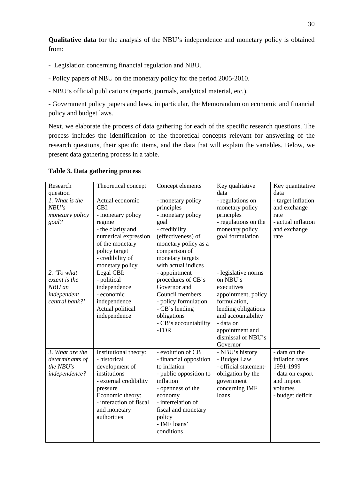**Qualitative data** for the analysis of the NBU's independence and monetary policy is obtained from:

- Legislation concerning financial regulation and NBU.

- Policy papers of NBU on the monetary policy for the period 2005-2010.
- NBU's official publications (reports, journals, analytical material, etc.).

- Government policy papers and laws, in particular, the Memorandum on economic and financial policy and budget laws.

Next, we elaborate the process of data gathering for each of the specific research questions. The process includes the identification of the theoretical concepts relevant for answering of the research questions, their specific items, and the data that will explain the variables. Below, we present data gathering process in a table.

| Research<br>question                                                    | Theoretical concept                                                                                                                                                                         | Concept elements                                                                                                                                                                                                        | Key qualitative<br>data                                                                                                                                                                             | Key quantitative<br>data                                                                                       |
|-------------------------------------------------------------------------|---------------------------------------------------------------------------------------------------------------------------------------------------------------------------------------------|-------------------------------------------------------------------------------------------------------------------------------------------------------------------------------------------------------------------------|-----------------------------------------------------------------------------------------------------------------------------------------------------------------------------------------------------|----------------------------------------------------------------------------------------------------------------|
| 1. What is the<br>NBU's<br><i>monetary policy</i><br>goal?              | Actual economic<br>CBI:<br>- monetary policy<br>regime<br>- the clarity and<br>numerical expression<br>of the monetary<br>policy target<br>- credibility of<br>monetary policy              | - monetary policy<br>principles<br>- monetary policy<br>goal<br>- credibility<br>(effectiveness) of<br>monetary policy as a<br>comparison of<br>monetary targets<br>with actual indices                                 | - regulations on<br>monetary policy<br>principles<br>- regulations on the<br>monetary policy<br>goal formulation                                                                                    | - target inflation<br>and exchange<br>rate<br>- actual inflation<br>and exchange<br>rate                       |
| 2. 'To what<br>extent is the<br>NBU an<br>independent<br>central bank?' | Legal CBI:<br>- political<br>independence<br>- economic<br>independence<br>Actual political<br>independence                                                                                 | - appointment<br>procedures of CB's<br>Governor and<br>Council members<br>- policy formulation<br>- CB's lending<br>obligations<br>- CB's accountability<br>-TOR                                                        | - legislative norms<br>on NBU's<br>executives<br>appointment, policy<br>formulation,<br>lending obligations<br>and accountability<br>- data on<br>appointment and<br>dismissal of NBU's<br>Governor |                                                                                                                |
| 3. What are the<br>determinants of<br>the NBU's<br>independence?        | Institutional theory:<br>- historical<br>development of<br>institutions<br>- external credibility<br>pressure<br>Economic theory:<br>- interaction of fiscal<br>and monetary<br>authorities | - evolution of CB<br>- financial opposition<br>to inflation<br>- public opposition to<br>inflation<br>- openness of the<br>economy<br>- interrelation of<br>fiscal and monetary<br>policy<br>- IMF loans'<br>conditions | - NBU's history<br>- Budget Law<br>- official statement-<br>obligation by the<br>government<br>concerning IMF<br>loans                                                                              | - data on the<br>inflation rates<br>1991-1999<br>- data on export<br>and import<br>volumes<br>- budget deficit |

## <span id="page-29-0"></span>**Table 3. Data gathering process**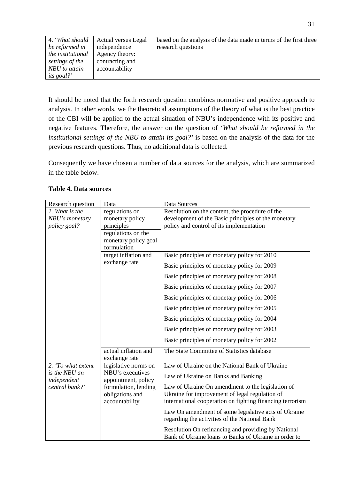| 4. 'What should   | <b>Actual versus Legal</b> | based on the analysis of the data made in terms of the first three |
|-------------------|----------------------------|--------------------------------------------------------------------|
| be reformed in    | independence               | research questions                                                 |
| the institutional | Agency theory:             |                                                                    |
| settings of the   | contracting and            |                                                                    |
| NBU to attain     | accountability             |                                                                    |
| <i>its goal?'</i> |                            |                                                                    |

It should be noted that the forth research question combines normative and positive approach to analysis. In other words, we the theoretical assumptions of the theory of what is the best practice of the CBI will be applied to the actual situation of NBU's independence with its positive and negative features. Therefore, the answer on the question of '*What should be reformed in the institutional settings of the NBU to attain its goal?'* is based on the analysis of the data for the previous research questions. Thus, no additional data is collected.

Consequently we have chosen a number of data sources for the analysis, which are summarized in the table below.

| Research question            | Data                                    | Data Sources                                                                                                 |
|------------------------------|-----------------------------------------|--------------------------------------------------------------------------------------------------------------|
| 1. What is the               | regulations on                          | Resolution on the content, the procedure of the                                                              |
| NBU's monetary               | monetary policy                         | development of the Basic principles of the monetary                                                          |
| policy goal?                 | principles                              | policy and control of its implementation                                                                     |
|                              | regulations on the                      |                                                                                                              |
|                              | monetary policy goal                    |                                                                                                              |
|                              | formulation                             |                                                                                                              |
|                              | target inflation and                    | Basic principles of monetary policy for 2010                                                                 |
|                              | exchange rate                           | Basic principles of monetary policy for 2009                                                                 |
|                              |                                         | Basic principles of monetary policy for 2008                                                                 |
|                              |                                         | Basic principles of monetary policy for 2007                                                                 |
|                              |                                         | Basic principles of monetary policy for 2006                                                                 |
|                              |                                         | Basic principles of monetary policy for 2005                                                                 |
|                              |                                         | Basic principles of monetary policy for 2004                                                                 |
|                              |                                         | Basic principles of monetary policy for 2003                                                                 |
|                              |                                         | Basic principles of monetary policy for 2002                                                                 |
|                              | actual inflation and                    | The State Committee of Statistics database                                                                   |
|                              | exchange rate                           |                                                                                                              |
| 2. 'To what extent           | legislative norms on                    | Law of Ukraine on the National Bank of Ukraine                                                               |
| is the NBU an<br>independent | NBU's executives<br>appointment, policy | Law of Ukraine on Banks and Banking                                                                          |
| central bank?'               | formulation, lending                    | Law of Ukraine On amendment to the legislation of                                                            |
|                              | obligations and                         | Ukraine for improvement of legal regulation of                                                               |
|                              | accountability                          | international cooperation on fighting financing terrorism                                                    |
|                              |                                         | Law On amendment of some legislative acts of Ukraine<br>regarding the activities of the National Bank        |
|                              |                                         | Resolution On refinancing and providing by National<br>Bank of Ukraine loans to Banks of Ukraine in order to |

## <span id="page-30-0"></span>**Table 4. Data sources**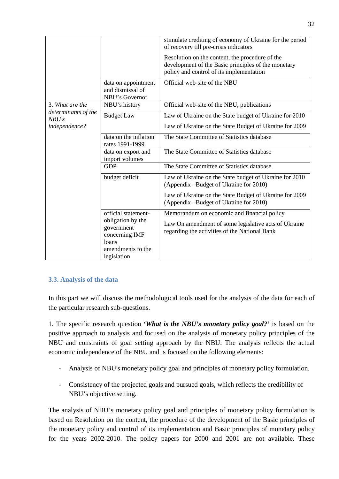|                              |                                                                                                                       | stimulate crediting of economy of Ukraine for the period<br>of recovery till pre-crisis indicators                                                   |
|------------------------------|-----------------------------------------------------------------------------------------------------------------------|------------------------------------------------------------------------------------------------------------------------------------------------------|
|                              |                                                                                                                       | Resolution on the content, the procedure of the<br>development of the Basic principles of the monetary<br>policy and control of its implementation   |
|                              | data on appointment<br>and dismissal of<br>NBU's Governor                                                             | Official web-site of the NBU                                                                                                                         |
| 3. What are the              | NBU's history                                                                                                         | Official web-site of the NBU, publications                                                                                                           |
| determinants of the<br>NBU's | <b>Budget Law</b>                                                                                                     | Law of Ukraine on the State budget of Ukraine for 2010                                                                                               |
| independence?                |                                                                                                                       | Law of Ukraine on the State Budget of Ukraine for 2009                                                                                               |
|                              | data on the inflation<br>rates 1991-1999                                                                              | The State Committee of Statistics database                                                                                                           |
|                              | data on export and<br>import volumes                                                                                  | The State Committee of Statistics database                                                                                                           |
|                              | <b>GDP</b>                                                                                                            | The State Committee of Statistics database                                                                                                           |
|                              | budget deficit                                                                                                        | Law of Ukraine on the State budget of Ukraine for 2010<br>(Appendix -Budget of Ukraine for 2010)                                                     |
|                              |                                                                                                                       | Law of Ukraine on the State Budget of Ukraine for 2009<br>(Appendix -Budget of Ukraine for 2010)                                                     |
|                              | official statement-<br>obligation by the<br>government<br>concerning IMF<br>loans<br>amendments to the<br>legislation | Memorandum on economic and financial policy<br>Law On amendment of some legislative acts of Ukraine<br>regarding the activities of the National Bank |

# <span id="page-31-0"></span>**3.3. Analysis of the data**

In this part we will discuss the methodological tools used for the analysis of the data for each of the particular research sub-questions.

1. The specific research question **'***What is the NBU's monetary policy goal?'* is based on the positive approach to analysis and focused on the analysis of monetary policy principles of the NBU and constraints of goal setting approach by the NBU. The analysis reflects the actual economic independence of the NBU and is focused on the following elements:

- Analysis of NBU's monetary policy goal and principles of monetary policy formulation.
- Consistency of the projected goals and pursued goals, which reflects the credibility of NBU's objective setting.

The analysis of NBU's monetary policy goal and principles of monetary policy formulation is based on Resolution on the content, the procedure of the development of the Basic principles of the monetary policy and control of its implementation and Basic principles of monetary policy for the years 2002-2010. The policy papers for 2000 and 2001 are not available. These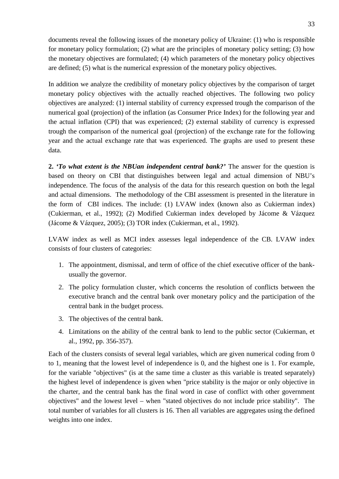documents reveal the following issues of the monetary policy of Ukraine: (1) who is responsible for monetary policy formulation; (2) what are the principles of monetary policy setting; (3) how the monetary objectives are formulated; (4) which parameters of the monetary policy objectives are defined; (5) what is the numerical expression of the monetary policy objectives.

In addition we analyze the credibility of monetary policy objectives by the comparison of target monetary policy objectives with the actually reached objectives. The following two policy objectives are analyzed: (1) internal stability of currency expressed trough the comparison of the numerical goal (projection) of the inflation (as Consumer Price Index) for the following year and the actual inflation (CPI) that was experienced; (2) external stability of currency is expressed trough the comparison of the numerical goal (projection) of the exchange rate for the following year and the actual exchange rate that was experienced. The graphs are used to present these data.

**2.** *'To what extent is the NBUan independent central bank?'* The answer for the question is based on theory on CBI that distinguishes between legal and actual dimension of NBU's independence. The focus of the analysis of the data for this research question on both the legal and actual dimensions. The methodology of the CBI assessment is presented in the literature in the form of CBI indices. The include: (1) LVAW index (known also as Cukierman index) (Cukierman, et al., 1992); (2) Modified Cukierman index developed by Jácome & Vázquez (Jácome & Vázquez, 2005); (3) TOR index (Cukierman, et al., 1992).

LVAW index as well as MCI index assesses legal independence of the CB. LVAW index consists of four clusters of categories:

- 1. The appointment, dismissal, and term of office of the chief executive officer of the bankusually the governor.
- 2. The policy formulation cluster, which concerns the resolution of conflicts between the executive branch and the central bank over monetary policy and the participation of the central bank in the budget process.
- 3. The objectives of the central bank.
- 4. Limitations on the ability of the central bank to lend to the public sector (Cukierman, et al., 1992, pp. 356-357).

Each of the clusters consists of several legal variables, which are given numerical coding from 0 to 1, meaning that the lowest level of independence is 0, and the highest one is 1. For example, for the variable "objectives" (is at the same time a cluster as this variable is treated separately) the highest level of independence is given when "price stability is the major or only objective in the charter, and the central bank has the final word in case of conflict with other government objectives" and the lowest level – when "stated objectives do not include price stability". The total number of variables for all clusters is 16. Then all variables are aggregates using the defined weights into one index.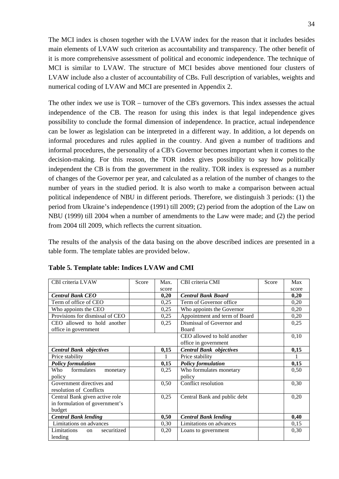The MCI index is chosen together with the LVAW index for the reason that it includes besides main elements of LVAW such criterion as accountability and transparency. The other benefit of it is more comprehensive assessment of political and economic independence. The technique of MCI is similar to LVAW. The structure of MCI besides above mentioned four clusters of LVAW include also a cluster of accountability of CBs. Full description of variables, weights and numerical coding of LVAW and MCI are presented in [Appendix 2.](#page-64-0)

The other index we use is TOR – turnover of the CB's governors. This index assesses the actual independence of the CB. The reason for using this index is that legal independence gives possibility to conclude the formal dimension of independence. In practice, actual independence can be lower as legislation can be interpreted in a different way. In addition, a lot depends on informal procedures and rules applied in the country. And given a number of traditions and informal procedures, the personality of a CB's Governor becomes important when it comes to the decision-making. For this reason, the TOR index gives possibility to say how politically independent the CB is from the government in the reality. TOR index is expressed as a number of changes of the Governor per year, and calculated as a relation of the number of changes to the number of years in the studied period. It is also worth to make a comparison between actual political independence of NBU in different periods. Therefore, we distinguish 3 periods: (1) the period from Ukraine's independence (1991) till 2009; (2) period from the adoption of the Law on NBU (1999) till 2004 when a number of amendments to the Law were made; and (2) the period from 2004 till 2009, which reflects the current situation.

The results of the analysis of the data basing on the above described indices are presented in a table form. The template tables are provided below.

| CBI criteria LVAW                | Score | Max.  | CBI criteria CMI               | Score | Max   |
|----------------------------------|-------|-------|--------------------------------|-------|-------|
|                                  |       | score |                                |       | score |
| <b>Central Bank CEO</b>          |       | 0,20  | <b>Central Bank Board</b>      |       | 0,20  |
| Term of office of CEO            |       | 0,25  | Term of Governor office        |       | 0,20  |
| Who appoints the CEO             |       | 0,25  | Who appoints the Governor      |       | 0,20  |
| Provisions for dismissal of CEO  |       | 0,25  | Appointment and term of Board  |       | 0,20  |
| CEO allowed to hold another      |       | 0,25  | Dismissal of Governor and      |       | 0,25  |
| office in government             |       |       | <b>Board</b>                   |       |       |
|                                  |       |       | CEO allowed to hold another    |       | 0,10  |
|                                  |       |       | office in government           |       |       |
| <b>Central Bank objectives</b>   |       | 0,15  | <b>Central Bank objectives</b> |       | 0,15  |
| Price stability                  |       |       | Price stability                |       |       |
| <b>Policy formulation</b>        |       | 0,15  | <b>Policy formulation</b>      |       | 0,15  |
| formulates<br>Who<br>monetary    |       | 0,25  | Who formulates monetary        |       | 0,50  |
| policy                           |       |       | policy                         |       |       |
| Government directives and        |       | 0,50  | Conflict resolution            |       | 0,30  |
| resolution of Conflicts          |       |       |                                |       |       |
| Central Bank given active role   |       | 0,25  | Central Bank and public debt   |       | 0,20  |
| in formulation of government's   |       |       |                                |       |       |
| budget                           |       |       |                                |       |       |
| <b>Central Bank lending</b>      |       | 0,50  | <b>Central Bank lending</b>    |       | 0,40  |
| Limitations on advances          |       | 0,30  | Limitations on advances        |       | 0,15  |
| securitized<br>Limitations<br>on |       | 0,20  | Loans to government            |       | 0,30  |
| lending                          |       |       |                                |       |       |

<span id="page-33-0"></span>**Table 5. Template table: Indices LVAW and CMI**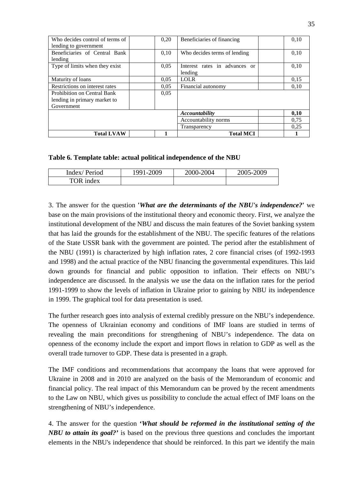| Who decides control of terms of<br>lending to government                  | 0,20 | Beneficiaries of financing               | 0,10 |
|---------------------------------------------------------------------------|------|------------------------------------------|------|
| Beneficiaries of Central Bank<br>lending                                  | 0,10 | Who decides terms of lending             | 0,10 |
| Type of limits when they exist                                            | 0,05 | Interest rates in advances or<br>lending | 0,10 |
| Maturity of loans                                                         | 0.05 | <b>LOLR</b>                              | 0,15 |
| Restrictions on interest rates                                            | 0.05 | Financial autonomy                       | 0.10 |
| Prohibition on Central Bank<br>lending in primary market to<br>Government | 0.05 |                                          |      |
|                                                                           |      | Accountability                           | 0,10 |
|                                                                           |      | Accountability norms                     | 0.75 |
|                                                                           |      | Transparency                             | 0,25 |
| <b>Total LVAW</b>                                                         |      | <b>Total MCI</b>                         |      |

<span id="page-34-0"></span>**Table 6. Template table: actual political independence of the NBU**

| Index/Period | 1991-2009 | 2000-2004 | 2005-2009 |
|--------------|-----------|-----------|-----------|
| TOR index    |           |           |           |

3. The answer for the question **'***What are the determinants of the NBU's independence?***'** we base on the main provisions of the institutional theory and economic theory. First, we analyze the institutional development of the NBU and discuss the main features of the Soviet banking system that has laid the grounds for the establishment of the NBU. The specific features of the relations of the State USSR bank with the government are pointed. The period after the establishment of the NBU (1991) is characterized by high inflation rates, 2 core financial crises (of 1992-1993 and 1998) and the actual practice of the NBU financing the governmental expenditures. This laid down grounds for financial and public opposition to inflation. Their effects on NBU's independence are discussed. In the analysis we use the data on the inflation rates for the period 1991-1999 to show the levels of inflation in Ukraine prior to gaining by NBU its independence in 1999. The graphical tool for data presentation is used.

The further research goes into analysis of external credibly pressure on the NBU's independence. The openness of Ukrainian economy and conditions of IMF loans are studied in terms of revealing the main preconditions for strengthening of NBU's independence. The data on openness of the economy include the export and import flows in relation to GDP as well as the overall trade turnover to GDP. These data is presented in a graph.

The IMF conditions and recommendations that accompany the loans that were approved for Ukraine in 2008 and in 2010 are analyzed on the basis of the Memorandum of economic and financial policy. The real impact of this Memorandum can be proved by the recent amendments to the Law on NBU, which gives us possibility to conclude the actual effect of IMF loans on the strengthening of NBU's independence.

4. The answer for the question **'***What should be reformed in the institutional setting of the NBU to attain its goal?'* is based on the previous three questions and concludes the important elements in the NBU's independence that should be reinforced. In this part we identify the main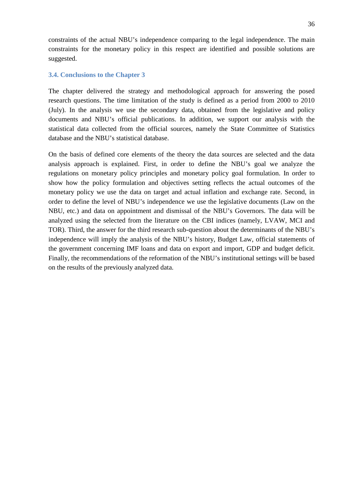constraints of the actual NBU's independence comparing to the legal independence. The main constraints for the monetary policy in this respect are identified and possible solutions are suggested.

#### <span id="page-35-0"></span>**3.4. Conclusions to the Chapter 3**

The chapter delivered the strategy and methodological approach for answering the posed research questions. The time limitation of the study is defined as a period from 2000 to 2010 (July). In the analysis we use the secondary data, obtained from the legislative and policy documents and NBU's official publications. In addition, we support our analysis with the statistical data collected from the official sources, namely the State Committee of Statistics database and the NBU's statistical database.

On the basis of defined core elements of the theory the data sources are selected and the data analysis approach is explained. First, in order to define the NBU's goal we analyze the regulations on monetary policy principles and monetary policy goal formulation. In order to show how the policy formulation and objectives setting reflects the actual outcomes of the monetary policy we use the data on target and actual inflation and exchange rate. Second, in order to define the level of NBU's independence we use the legislative documents (Law on the NBU, etc.) and data on appointment and dismissal of the NBU's Governors. The data will be analyzed using the selected from the literature on the CBI indices (namely, LVAW, MCI and TOR). Third, the answer for the third research sub-question about the determinants of the NBU's independence will imply the analysis of the NBU's history, Budget Law, official statements of the government concerning IMF loans and data on export and import, GDP and budget deficit. Finally, the recommendations of the reformation of the NBU's institutional settings will be based on the results of the previously analyzed data.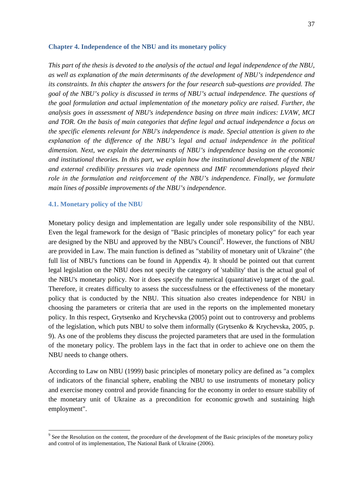#### <span id="page-36-0"></span>**Chapter 4. Independence of the NBU and its monetary policy**

*This part of the thesis is devoted to the analysis of the actual and legal independence of the NBU, as well as explanation of the main determinants of the development of NBU's independence and its constraints. In this chapter the answers for the four research sub-questions are provided. The goal of the NBU's policy is discussed in terms of NBU's actual independence. The questions of the goal formulation and actual implementation of the monetary policy are raised. Further, the analysis goes in assessment of NBU's independence basing on three main indices: LVAW, MCI and TOR. On the basis of main categories that define legal and actual independence a focus on the specific elements relevant for NBU's independence is made. Special attention is given to the explanation of the difference of the NBU's legal and actual independence in the political dimension. Next, we explain the determinants of NBU's independence basing on the economic and institutional theories. In this part, we explain how the institutional development of the NBU and external credibility pressures via trade openness and IMF recommendations played their role in the formulation and reinforcement of the NBU's independence. Finally, we formulate main lines of possible improvements of the NBU's independence.*

#### <span id="page-36-1"></span>**4.1. Monetary policy of the NBU**

Monetary policy design and implementation are legally under sole responsibility of the NBU. Even the legal framework for the design of "Basic principles of monetary policy" for each year are designed by the NBU and approved by the NBU's Council<sup>9</sup>. However, the functions of NBU are provided in Law. The main function is defined as "stability of monetary unit of Ukraine" (the full list of NBU's functions can be found in [Appendix 4\)](#page-70-0). It should be pointed out that current legal legislation on the NBU does not specify the category of 'stability' that is the actual goal of the NBU's monetary policy. Nor it does specify the numerical (quantitative) target of the goal. Therefore, it creates difficulty to assess the successfulness or the effectiveness of the monetary policy that is conducted by the NBU. This situation also creates independence for NBU in choosing the parameters or criteria that are used in the reports on the implemented monetary policy. In this respect, Grytsenko and Krychevska (2005) point out to controversy and problems of the legislation, which puts NBU to solve them informally (Grytsenko & Krychevska, 2005, p. 9). As one of the problems they discuss the projected parameters that are used in the formulation of the monetary policy. The problem lays in the fact that in order to achieve one on them the NBU needs to change others.

According to Law on NBU (1999) basic principles of monetary policy are defined as "a complex of indicators of the financial sphere, enabling the NBU to use instruments of monetary policy and exercise money control and provide financing for the economy in order to ensure stability of the monetary unit of Ukraine as a precondition for economic growth and sustaining high employment".

<sup>&</sup>lt;sup>9</sup> See the Resolution on the content, the procedure of the development of the Basic principles of the monetary policy and control of its implementation, The National Bank of Ukraine (2006).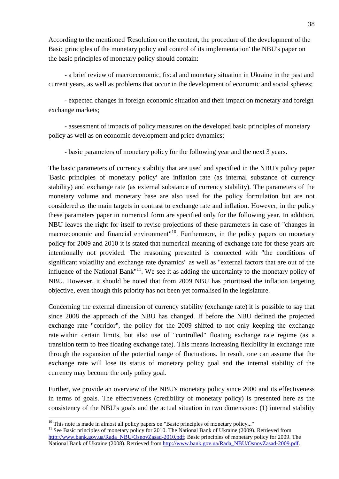According to the mentioned 'Resolution on the content, the procedure of the development of the Basic principles of the monetary policy and control of its implementation' the NBU's paper on the basic principles of monetary policy should contain:

- a brief review of macroeconomic, fiscal and monetary situation in Ukraine in the past and current years, as well as problems that occur in the development of economic and social spheres;

- expected changes in foreign economic situation and their impact on monetary and foreign exchange markets;

- assessment of impacts of policy measures on the developed basic principles of monetary policy as well as on economic development and price dynamics;

- basic parameters of monetary policy for the following year and the next 3 years.

The basic parameters of currency stability that are used and specified in the NBU's policy paper 'Basic principles of monetary policy' are inflation rate (as internal substance of currency stability) and exchange rate (as external substance of currency stability). The parameters of the monetary volume and monetary base are also used for the policy formulation but are not considered as the main targets in contrast to exchange rate and inflation. However, in the policy these parameters paper in numerical form are specified only for the following year. In addition, NBU leaves the right for itself to revise projections of these parameters in case of "changes in macroeconomic and financial environment<sup>"10</sup>. Furthermore, in the policy papers on monetary policy for 2009 and 2010 it is stated that numerical meaning of exchange rate for these years are intentionally not provided. The reasoning presented is connected with "the conditions of significant volatility and exchange rate dynamics" as well as "external factors that are out of the influence of the National Bank"<sup>11</sup>. We see it as adding the uncertainty to the monetary policy of NBU. However, it should be noted that from 2009 NBU has prioritised the inflation targeting objective, even though this priority has not been yet formalised in the legislature.

Concerning the external dimension of currency stability (exchange rate) it is possible to say that since 2008 the approach of the NBU has changed. If before the NBU defined the projected exchange rate "corridor", the policy for the 2009 shifted to not only keeping the exchange rate within certain limits, but also use of "controlled" floating exchange rate regime (as a transition term to free floating exchange rate). This means increasing flexibility in exchange rate through the expansion of the potential range of fluctuations. In result, one can assume that the exchange rate will lose its status of monetary policy goal and the internal stability of the currency may become the only policy goal.

Further, we provide an overview of the NBU's monetary policy since 2000 and its effectiveness in terms of goals. The effectiveness (credibility of monetary policy) is presented here as the consistency of the NBU's goals and the actual situation in two dimensions: (1) internal stability

<sup>&</sup>lt;sup>10</sup> This note is made in almost all policy papers on "Basic principles of monetary policy..."<br><sup>11</sup> See Basic principles of monetary policy for 2010. The National Bank of Ukraine (2009). Retrieved from [http://www.bank.gov.ua/Rada\\_NBU/OsnovZasad-2010.pdf;](http://www.bank.gov.ua/Rada_NBU/OsnovZasad-2010.pdf) Basic principles of monetary policy for 2009. The National Bank of Ukraine (2008). Retrieved from [http://www.bank.gov.ua/Rada\\_NBU/OsnovZasad-2009.pdf.](http://www.bank.gov.ua/Rada_NBU/OsnovZasad-2009.pdf)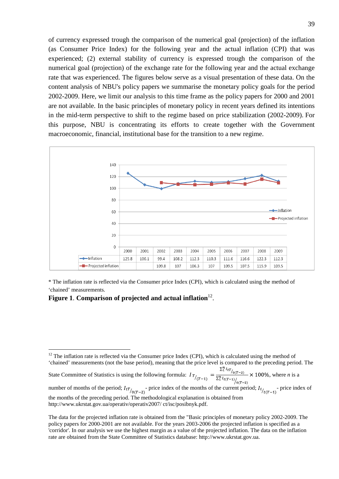of currency expressed trough the comparison of the numerical goal (projection) of the inflation (as Consumer Price Index) for the following year and the actual inflation (CPI) that was experienced; (2) external stability of currency is expressed trough the comparison of the numerical goal (projection) of the exchange rate for the following year and the actual exchange rate that was experienced. The figures below serve as a visual presentation of these data. On the content analysis of NBU's policy papers we summarise the monetary policy goals for the period 2002-2009. Here, we limit our analysis to this time frame as the policy papers for 2000 and 2001 are not available. In the basic principles of monetary policy in recent years defined its intentions in the mid-term perspective to shift to the regime based on price stabilization (2002-2009). For this purpose, NBU is concentrating its efforts to create together with the Government macroeconomic, financial, institutional base for the transition to a new regime.



\* The inflation rate is reflected via the Consumer price Index (CPI), which is calculated using the method of 'chained' measurements.

<span id="page-38-0"></span>**Figure 1. Comparison of projected and actual inflation**<sup>12</sup>.

'chained' measurements (not the base period), meaning that the price level is compared to the preceding period. The<br>
State Committee of Statistics is using the following formula:  $I_T$ ,  $= \frac{\sum_{i=1}^{n} I_{tT}}{\sqrt{n}} \times 100\%$ , wh State Committee of Statistics is using the following formula:  $I_{T/(T-1)} = \frac{1}{\sum_{i=1}^{n} I_{t(T-1)}} \Big|_{0(T-2)}$ 

number of months of the period;  $I_{tT}$  price index of the months of the current period;  $I_{t}$  price index of the months of the preceding period. The methodological explanation is obtained from http://www.ukrstat.gov.ua/operativ/operativ2007/ ct/isc/posibnyk.pdf.

 $12$  The inflation rate is reflected via the Consumer price Index (CPI), which is calculated using the method of

The data for the projected inflation rate is obtained from the "Basic principles of monetary policy 2002-2009. The policy papers for 2000-2001 are not available. For the years 2003-2006 the projected inflation is specified as a 'corridor'. In our analysis we use the highest margin as a value of the projected inflation. The data on the inflation rate are obtained from the State Committee of Statistics database: http://www.ukrstat.gov.ua.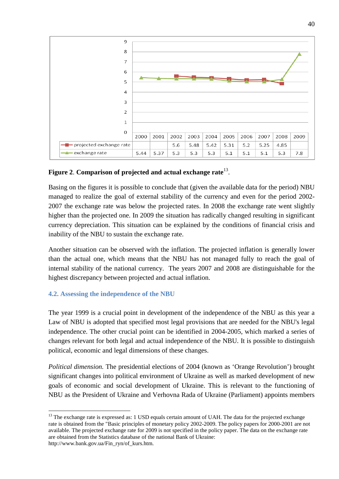

# <span id="page-39-1"></span>**Figure 2**. **Comparison of projected and actual exchange rate**13.

Basing on the figures it is possible to conclude that (given the available data for the period) NBU managed to realize the goal of external stability of the currency and even for the period 2002- 2007 the exchange rate was below the projected rates. In 2008 the exchange rate went slightly higher than the projected one. In 2009 the situation has radically changed resulting in significant currency depreciation. This situation can be explained by the conditions of financial crisis and inability of the NBU to sustain the exchange rate.

Another situation can be observed with the inflation. The projected inflation is generally lower than the actual one, which means that the NBU has not managed fully to reach the goal of internal stability of the national currency. The years 2007 and 2008 are distinguishable for the highest discrepancy between projected and actual inflation.

# <span id="page-39-0"></span>**4.2. Assessing the independence of the NBU**

The year 1999 is a crucial point in development of the independence of the NBU as this year a Law of NBU is adopted that specified most legal provisions that are needed for the NBU's legal independence. The other crucial point can be identified in 2004-2005, which marked a series of changes relevant for both legal and actual independence of the NBU. It is possible to distinguish political, economic and legal dimensions of these changes.

*Political dimension.* The presidential elections of 2004 (known as 'Orange Revolution') brought significant changes into political environment of Ukraine as well as marked development of new goals of economic and social development of Ukraine. This is relevant to the functioning of NBU as the President of Ukraine and Verhovna Rada of Ukraine (Parliament) appoints members

<sup>&</sup>lt;sup>13</sup> The exchange rate is expressed as: 1 USD equals certain amount of UAH. The data for the projected exchange rate is obtained from the "Basic principles of monetary policy 2002-2009. The policy papers for 2000-2001 are not available. The projected exchange rate for 2009 is not specified in the policy paper. The data on the exchange rate are obtained from the Statistics database of the national Bank of Ukraine: http://www.bank.gov.ua/Fin\_ryn/of\_kurs.htm.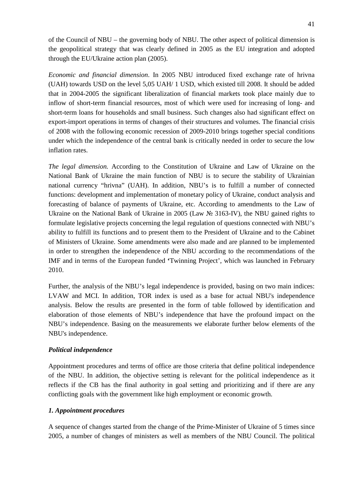of the Council of NBU – the governing body of NBU. The other aspect of political dimension is the geopolitical strategy that was clearly defined in 2005 as the EU integration and adopted through the EU/Ukraine action plan (2005).

*Economic and financial dimension*. In 2005 NBU introduced fixed exchange rate of hrivna (UAH) towards USD on the level 5,05 UAH/ 1 USD, which existed till 2008. It should be added that in 2004-2005 the significant liberalization of financial markets took place mainly due to inflow of short-term financial resources, most of which were used for increasing of long- and short-term loans for households and small business. Such changes also had significant effect on export-import operations in terms of changes of their structures and volumes. The financial crisis of 2008 with the following economic recession of 2009-2010 brings together special conditions under which the independence of the central bank is critically needed in order to secure the low inflation rates.

*The legal dimension.* According to the Constitution of Ukraine and Law of Ukraine on the National Bank of Ukraine the main function of NBU is to secure the stability of Ukrainian national currency "hrivna" (UAH). In addition, NBU's is to fulfill a number of connected functions: development and implementation of monetary policy of Ukraine, conduct analysis and forecasting of balance of payments of Ukraine, etc. According to amendments to the Law of Ukraine on the National Bank of Ukraine in 2005 (Law № 3163-IV), the NBU gained rights to formulate legislative projects concerning the legal regulation of questions connected with NBU's ability to fulfill its functions and to present them to the President of Ukraine and to the Cabinet of Ministers of Ukraine. Some amendments were also made and are planned to be implemented in order to strengthen the independence of the NBU according to the recommendations of the IMF and in terms of the European funded **'**Twinning Project', which was launched in February 2010.

Further, the analysis of the NBU's legal independence is provided, basing on two main indices: LVAW and MCI. In addition, TOR index is used as a base for actual NBU's independence analysis. Below the results are presented in the form of table followed by identification and elaboration of those elements of NBU's independence that have the profound impact on the NBU's independence. Basing on the measurements we elaborate further below elements of the NBU's independence.

## *Political independence*

Appointment procedures and terms of office are those criteria that define political independence of the NBU. In addition, the objective setting is relevant for the political independence as it reflects if the CB has the final authority in goal setting and prioritizing and if there are any conflicting goals with the government like high employment or economic growth.

### *1. Appointment procedures*

A sequence of changes started from the change of the Prime-Minister of Ukraine of 5 times since 2005, a number of changes of ministers as well as members of the NBU Council. The political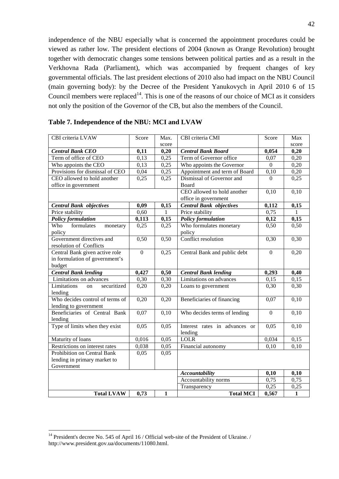independence of the NBU especially what is concerned the appointment procedures could be viewed as rather low. The president elections of 2004 (known as Orange Revolution) brought together with democratic changes some tensions between political parties and as a result in the Verkhovna Rada (Parliament), which was accompanied by frequent changes of key governmental officials. The last president elections of 2010 also had impact on the NBU Council (main governing body): by the Decree of the President Yanukovych in April 2010 6 of 15 Council members were replaced<sup>14</sup>. This is one of the reasons of our choice of MCI as it considers not only the position of the Governor of the CB, but also the members of the Council.

| CBI criteria LVAW                | Score          | Max.              | CBI criteria CMI               | Score            | Max          |
|----------------------------------|----------------|-------------------|--------------------------------|------------------|--------------|
|                                  |                | score             |                                |                  | score        |
| <b>Central Bank CEO</b>          | 0,11           | 0,20              | <b>Central Bank Board</b>      | 0,054            | 0,20         |
| Term of office of CEO            | 0,13           | 0,25              | Term of Governor office        | 0,07             | 0,20         |
| Who appoints the CEO             | 0,13           | 0,25              | Who appoints the Governor      | $\boldsymbol{0}$ | 0,20         |
| Provisions for dismissal of CEO  | 0,04           | 0,25              | Appointment and term of Board  | 0,10             | 0,20         |
| CEO allowed to hold another      | 0,25           | 0,25              | Dismissal of Governor and      | $\Omega$         | 0,25         |
| office in government             |                |                   | Board                          |                  |              |
|                                  |                |                   | CEO allowed to hold another    | 0,10             | 0,10         |
|                                  |                |                   | office in government           |                  |              |
| <b>Central Bank objectives</b>   | 0,09           | 0,15              | <b>Central Bank objectives</b> | 0,112            | 0,15         |
| Price stability                  | 0,60           | 1                 | Price stability                | 0,75             | 1            |
| <b>Policy formulation</b>        | 0,113          | 0,15              | <b>Policy formulation</b>      | 0,12             | 0,15         |
| formulates<br>Who<br>monetary    | 0,25           | 0,25              | Who formulates monetary        | 0,50             | 0,50         |
| policy                           |                |                   | policy                         |                  |              |
| Government directives and        | 0,50           | 0,50              | Conflict resolution            | 0,30             | 0,30         |
| resolution of Conflicts          |                |                   |                                |                  |              |
| Central Bank given active role   | $\overline{0}$ | 0,25              | Central Bank and public debt   | $\overline{0}$   | 0,20         |
| in formulation of government's   |                |                   |                                |                  |              |
| budget                           |                |                   |                                |                  |              |
| <b>Central Bank lending</b>      | 0,427          | 0,50              | <b>Central Bank lending</b>    | 0,293            | 0,40         |
| Limitations on advances          | 0,30           | $\overline{0,30}$ | Limitations on advances        | 0,15             | 0,15         |
| securitized<br>Limitations<br>on | 0,20           | 0,20              | Loans to government            | 0,30             | 0,30         |
| lending                          |                |                   |                                |                  |              |
| Who decides control of terms of  | 0,20           | 0,20              | Beneficiaries of financing     | 0,07             | 0,10         |
| lending to government            |                |                   |                                |                  |              |
| Beneficiaries of Central Bank    | 0,07           | 0,10              | Who decides terms of lending   | $\mathbf{0}$     | 0,10         |
| lending                          |                |                   |                                |                  |              |
| Type of limits when they exist   | 0,05           | 0,05              | Interest rates in advances or  | 0,05             | 0,10         |
|                                  |                |                   | lending                        |                  |              |
| Maturity of loans                | 0,016          | 0,05              | <b>LOLR</b>                    | 0,034            | 0,15         |
| Restrictions on interest rates   | 0,038          | 0,05              | Financial autonomy             | 0,10             | 0,10         |
| Prohibition on Central Bank      | 0,05           | 0,05              |                                |                  |              |
| lending in primary market to     |                |                   |                                |                  |              |
| Government                       |                |                   |                                |                  |              |
|                                  |                |                   | <b>Accountability</b>          | 0,10             | 0,10         |
|                                  |                |                   | Accountability norms           | 0,75             | 0,75         |
|                                  |                |                   | Transparency                   | 0,25             | 0,25         |
| <b>Total LVAW</b>                | 0,73           | $\mathbf{1}$      | <b>Total MCI</b>               | 0,567            | $\mathbf{1}$ |

# <span id="page-41-0"></span>**Table 7. Independence of the NBU: MCI and LVAW**

<sup>&</sup>lt;sup>14</sup> President's decree No. 545 of April 16 / Official web-site of the President of Ukraine. / http://www.president.gov.ua/documents/11080.html.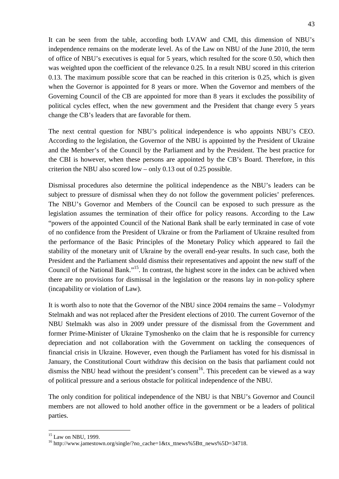It can be seen from the table, according both LVAW and CMI, this dimension of NBU's independence remains on the moderate level. As of the Law on NBU of the June 2010, the term of office of NBU's executives is equal for 5 years, which resulted for the score 0.50, which then was weighted upon the coefficient of the relevance 0.25. In a result NBU scored in this criterion 0.13. The maximum possible score that can be reached in this criterion is 0.25, which is given when the Governor is appointed for 8 years or more. When the Governor and members of the Governing Council of the CB are appointed for more than 8 years it excludes the possibility of political cycles effect, when the new government and the President that change every 5 years change the CB's leaders that are favorable for them.

The next central question for NBU's political independence is who appoints NBU's CEO. According to the legislation, the Governor of the NBU is appointed by the President of Ukraine and the Member's of the Council by the Parliament and by the President. The best practice for the CBI is however, when these persons are appointed by the CB's Board. Therefore, in this criterion the NBU also scored low – only 0.13 out of 0.25 possible.

Dismissal procedures also determine the political independence as the NBU's leaders can be subject to pressure of dismissal when they do not follow the government policies' preferences. The NBU's Governor and Members of the Council can be exposed to such pressure as the legislation assumes the termination of their office for policy reasons. According to the Law "powers of the appointed Council of the National Bank shall be early terminated in case of vote of no confidence from the President of Ukraine or from the Parliament of Ukraine resulted from the performance of the Basic Principles of the Monetary Policy which appeared to fail the stability of the monetary unit of Ukraine by the overall end-year results. In such case, both the President and the Parliament should dismiss their representatives and appoint the new staff of the Council of the National Bank."15. In contrast, the highest score in the index can be achived when there are no provisions for dismissal in the legislation or the reasons lay in non-policy sphere (incapability or violation of Law).

It is worth also to note that the Governor of the NBU since 2004 remains the same – Volodymyr Stelmakh and was not replaced after the President elections of 2010. The current Governor of the NBU Stelmakh was also in 2009 under pressure of the dismissal from the Government and former Prime-Minister of Ukraine Tymoshenko on the claim that he is responsible for currency depreciation and not collaboration with the Government on tackling the consequences of financial crisis in Ukraine. However, even though the Parliament has voted for his dismissal in January, the Constitutional Court withdraw this decision on the basis that parliament could not dismiss the NBU head without the president's consent<sup>16</sup>. This precedent can be viewed as a way of political pressure and a serious obstacle for political independence of the NBU.

The only condition for political independence of the NBU is that NBU's Governor and Council members are not allowed to hold another office in the government or be a leaders of political parties.

<sup>&</sup>lt;sup>15</sup> Law on NBU, 1999.<br><sup>16</sup> http://www.jamestown.org/single/?no\_cache=1&tx\_ttnews%5Btt\_news%5D=34718.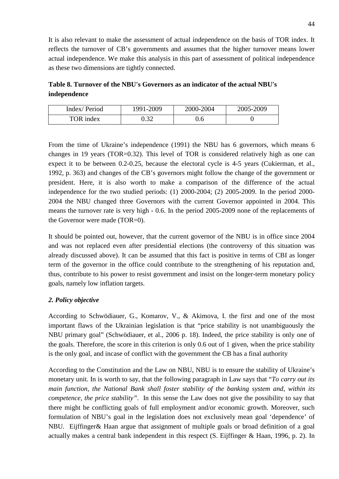It is also relevant to make the assessment of actual independence on the basis of TOR index. It reflects the turnover of CB's governments and assumes that the higher turnover means lower actual independence. We make this analysis in this part of assessment of political independence as these two dimensions are tightly connected.

<span id="page-43-0"></span>**Table 8. Turnover of the NBU's Governors as an indicator of the actual NBU's independence**

| Index/Period | 1991-2009 | 2000-2004 | 2005-2009 |
|--------------|-----------|-----------|-----------|
| TOR index    | ے بی      |           |           |

From the time of Ukraine's independence (1991) the NBU has 6 governors, which means 6 changes in 19 years (TOR=0.32). This level of TOR is considered relatively high as one can expect it to be between 0.2-0.25, because the electoral cycle is 4-5 years (Cukierman, et al., 1992, p. 363) and changes of the CB's governors might follow the change of the government or president. Here, it is also worth to make a comparison of the difference of the actual independence for the two studied periods: (1) 2000-2004; (2) 2005-2009. In the period 2000- 2004 the NBU changed three Governors with the current Governor appointed in 2004. This means the turnover rate is very high - 0.6. In the period 2005-2009 none of the replacements of the Governor were made (TOR=0).

It should be pointed out, however, that the current governor of the NBU is in office since 2004 and was not replaced even after presidential elections (the controversy of this situation was already discussed above). It can be assumed that this fact is positive in terms of CBI as longer term of the governor in the office could contribute to the strengthening of his reputation and, thus, contribute to his power to resist government and insist on the longer-term monetary policy goals, namely low inflation targets.

# *2. Policy objective*

According to Schwödiauer, G., Komarov, V., & Akimova, I. the first and one of the most important flaws of the Ukrainian legislation is that "price stability is not unambiguously the NBU primary goal" (Schwödiauer, et al., 2006 p. 18). Indeed, the price stability is only one of the goals. Therefore, the score in this criterion is only 0.6 out of 1 given, when the price stability is the only goal, and incase of conflict with the government the CB has a final authority

According to the Constitution and the Law on NBU, NBU is to ensure the stability of Ukraine's monetary unit. In is worth to say, that the following paragraph in Law says that "*To carry out its main function, the National Bank shall foster stability of the banking system and, within its competence, the price stability"*. In this sense the Law does not give the possibility to say that there might be conflicting goals of full employment and/or economic growth. Moreover, such formulation of NBU's goal in the legislation does not exclusively mean goal 'dependence' of NBU. Eijffinger& Haan argue that assignment of multiple goals or broad definition of a goal actually makes a central bank independent in this respect (S. Eijffinger & Haan, 1996, p. 2). In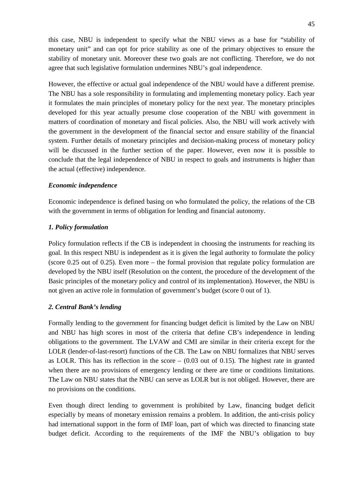this case, NBU is independent to specify what the NBU views as a base for "stability of monetary unit" and can opt for price stability as one of the primary objectives to ensure the stability of monetary unit. Moreover these two goals are not conflicting. Therefore, we do not agree that such legislative formulation undermines NBU's goal independence.

However, the effective or actual goal independence of the NBU would have a different premise. The NBU has a sole responsibility in formulating and implementing monetary policy. Each year it formulates the main principles of monetary policy for the next year. The monetary principles developed for this year actually presume close cooperation of the NBU with government in matters of coordination of monetary and fiscal policies. Also, the NBU will work actively with the government in the development of the financial sector and ensure stability of the financial system. Further details of monetary principles and decision-making process of monetary policy will be discussed in the further section of the paper. However, even now it is possible to conclude that the legal independence of NBU in respect to goals and instruments is higher than the actual (effective) independence.

## *Economic independence*

Economic independence is defined basing on who formulated the policy, the relations of the CB with the government in terms of obligation for lending and financial autonomy.

#### *1. Policy formulation*

Policy formulation reflects if the CB is independent in choosing the instruments for reaching its goal. In this respect NBU is independent as it is given the legal authority to formulate the policy (score 0.25 out of 0.25). Even more – the formal provision that regulate policy formulation are developed by the NBU itself (Resolution on the content, the procedure of the development of the Basic principles of the monetary policy and control of its implementation). However, the NBU is not given an active role in formulation of government's budget (score 0 out of 1).

#### *2. Central Bank's lending*

Formally lending to the government for financing budget deficit is limited by the Law on NBU and NBU has high scores in most of the criteria that define CB's independence in lending obligations to the government. The LVAW and CMI are similar in their criteria except for the LOLR (lender-of-last-resort) functions of the CB. The Law on NBU formalizes that NBU serves as LOLR. This has its reflection in the score  $-$  (0.03 out of 0.15). The highest rate in granted when there are no provisions of emergency lending or there are time or conditions limitations. The Law on NBU states that the NBU can serve as LOLR but is not obliged. However, there are no provisions on the conditions.

Even though direct lending to government is prohibited by Law, financing budget deficit especially by means of monetary emission remains a problem. In addition, the anti-crisis policy had international support in the form of IMF loan, part of which was directed to financing state budget deficit. According to the requirements of the IMF the NBU's obligation to buy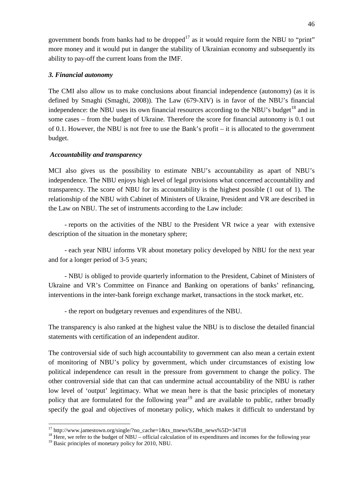government bonds from banks had to be dropped<sup>17</sup> as it would require form the NBU to "print" more money and it would put in danger the stability of Ukrainian economy and subsequently its ability to pay-off the current loans from the IMF.

## *3. Financial autonomy*

The CMI also allow us to make conclusions about financial independence (autonomy) (as it is defined by Smaghi (Smaghi, 2008)). The Law (679-XIV) is in favor of the NBU's financial independence: the NBU uses its own financial resources according to the NBU's budget<sup>18</sup> and in some cases – from the budget of Ukraine. Therefore the score for financial autonomy is 0.1 out of 0.1. However, the NBU is not free to use the Bank's profit – it is allocated to the government budget.

## *Accountability and transparency*

MCI also gives us the possibility to estimate NBU's accountability as apart of NBU's independence. The NBU enjoys high level of legal provisions what concerned accountability and transparency. The score of NBU for its accountability is the highest possible (1 out of 1). The relationship of the NBU with Cabinet of Ministers of Ukraine, President and VR are described in the Law on NBU. The set of instruments according to the Law include:

- reports on the activities of the NBU to the President VR twice a year with extensive description of the situation in the monetary sphere;

- each year NBU informs VR about monetary policy developed by NBU for the next year and for a longer period of 3-5 years;

- NBU is obliged to provide quarterly information to the President, Cabinet of Ministers of Ukraine and VR's Committee on Finance and Banking on operations of banks' refinancing, interventions in the inter-bank foreign exchange market, transactions in the stock market, etc.

- the report on budgetary revenues and expenditures of the NBU.

The transparency is also ranked at the highest value the NBU is to disclose the detailed financial statements with certification of an independent auditor.

The controversial side of such high accountability to government can also mean a certain extent of monitoring of NBU's policy by government, which under circumstances of existing low political independence can result in the pressure from government to change the policy. The other controversial side that can that can undermine actual accountability of the NBU is rather low level of 'output' legitimacy. What we mean here is that the basic principles of monetary policy that are formulated for the following year<sup>19</sup> and are available to public, rather broadly specify the goal and objectives of monetary policy, which makes it difficult to understand by

<sup>&</sup>lt;sup>17</sup> http://www.jamestown.org/single/?no\_cache=1&tx\_ttnews%5Btt\_news%5D=34718<br><sup>18</sup> Here, we refer to the budget of NBU – official calculation of its expenditures and incomes for the following year

<sup>&</sup>lt;sup>19</sup> Basic principles of monetary policy for 2010, NBU.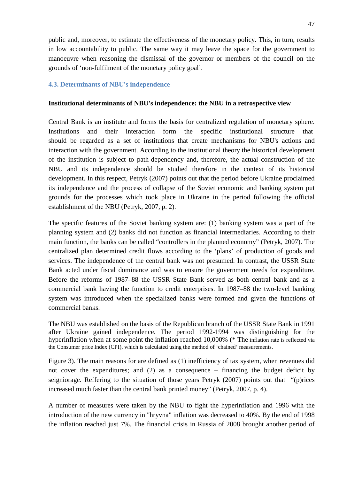public and, moreover, to estimate the effectiveness of the monetary policy. This, in turn, results in low accountability to public. The same way it may leave the space for the government to manoeuvre when reasoning the dismissal of the governor or members of the council on the grounds of 'non-fulfilment of the monetary policy goal'.

## <span id="page-46-0"></span>**4.3. Determinants of NBU's independence**

#### **Institutional determinants of NBU's independence: the NBU in a retrospective view**

Central Bank is an institute and forms the basis for centralized regulation of monetary sphere. Institutions and their interaction form the specific institutional structure that should be regarded as a set of institutions that create mechanisms for NBU's actions and interaction with the government. According to the institutional theory the historical development of the institution is subject to path-dependency and, therefore, the actual construction of the NBU and its independence should be studied therefore in the context of its historical development. In this respect, Petryk (2007) points out that the period before Ukraine proclaimed its independence and the process of collapse of the Soviet economic and banking system put grounds for the processes which took place in Ukraine in the period following the official establishment of the NBU (Petryk, 2007, p. 2).

The specific features of the Soviet banking system are: (1) banking system was a part of the planning system and (2) banks did not function as financial intermediaries. According to their main function, the banks can be called "controllers in the planned economy" (Petryk, 2007). The centralized plan determined credit flows according to the 'plans' of production of goods and services. The independence of the central bank was not presumed. In contrast, the USSR State Bank acted under fiscal dominance and was to ensure the government needs for expenditure. Before the reforms of 1987–88 the USSR State Bank served as both central bank and as a commercial bank having the function to credit enterprises. In 1987–88 the two-level banking system was introduced when the specialized banks were formed and given the functions of commercial banks.

The NBU was established on the basis of the Republican branch of the USSR State Bank in 1991 after Ukraine gained independence. The period 1992-1994 was distinguishing for the hyperinflation when at some point the inflation reached 10,000% (\* The [inflation rate is reflected via](#page-47-1)  [the Consumer price Index \(CPI\), which is calculated using the method of 'chained' measurements.](#page-47-1)

[Figure 3\)](#page-47-1). The main reasons for are defined as (1) inefficiency of tax system, when revenues did not cover the expenditures; and (2) as a consequence – financing the budget deficit by seigniorage. Reffering to the situation of those years Petryk (2007) points out that "(p)rices increased much faster than the central bank printed money" (Petryk, 2007, p. 4).

A number of measures were taken by the NBU to fight the hyperinflation and 1996 with the introduction of the new currency in "hryvna" inflation was decreased to 40%. By the end of 1998 the inflation reached just 7%. The financial crisis in Russia of 2008 brought another period of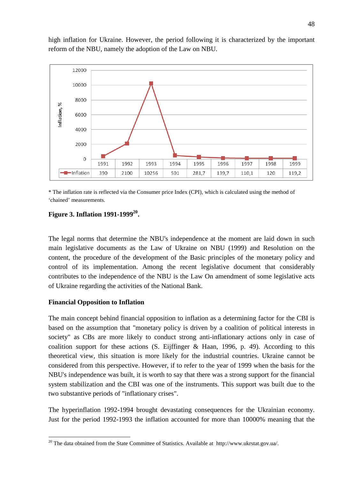high inflation for Ukraine. However, the period following it is characterized by the important reform of the NBU, namely the adoption of the Law on NBU.



<span id="page-47-1"></span>\* The inflation rate is reflected via the Consumer price Index (CPI), which is calculated using the method of 'chained' measurements.

## <span id="page-47-0"></span>**Figure 3. Inflation 1991-1999<sup>20</sup>.**

The legal norms that determine the NBU's independence at the moment are laid down in such main legislative documents as the Law of Ukraine on NBU (1999) and Resolution on the content, the procedure of the development of the Basic principles of the monetary policy and control of its implementation. Among the recent legislative document that considerably contributes to the independence of the NBU is the Law On amendment of some legislative acts of Ukraine regarding the activities of the National Bank.

## **Financial Opposition to Inflation**

The main concept behind financial opposition to inflation as a determining factor for the CBI is based on the assumption that "monetary policy is driven by a coalition of political interests in society" as CBs are more likely to conduct strong anti-inflationary actions only in case of coalition support for these actions  $(S.$  Eijffinger  $\&$  Haan, 1996, p. 49). According to this theoretical view, this situation is more likely for the industrial countries. Ukraine cannot be considered from this perspective. However, if to refer to the year of 1999 when the basis for the NBU's independence was built, it is worth to say that there was a strong support for the financial system stabilization and the CBI was one of the instruments. This support was built due to the two substantive periods of "inflationary crises".

The hyperinflation 1992-1994 brought devastating consequences for the Ukrainian economy. Just for the period 1992-1993 the inflation accounted for more than 10000% meaning that the

<sup>&</sup>lt;sup>20</sup> The data obtained from the State Committee of Statistics. Available at http://www.ukrstat.gov.ua/.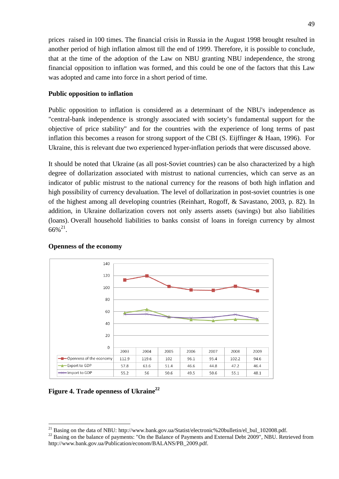prices raised in 100 times. The financial crisis in Russia in the August 1998 brought resulted in another period of high inflation almost till the end of 1999. Therefore, it is possible to conclude, that at the time of the adoption of the Law on NBU granting NBU independence, the strong financial opposition to inflation was formed, and this could be one of the factors that this Law was adopted and came into force in a short period of time.

### **Public opposition to inflation**

Public opposition to inflation is considered as a determinant of the NBU's independence as "central-bank independence is strongly associated with society's fundamental support for the objective of price stability" and for the countries with the experience of long terms of past inflation this becomes a reason for strong support of the CBI (S. Eijffinger & Haan, 1996). For Ukraine, this is relevant due two experienced hyper-inflation periods that were discussed above.

It should be noted that Ukraine (as all post-Soviet countries) can be also characterized by a high degree of dollarization associated with mistrust to national currencies, which can serve as an indicator of public mistrust to the national currency for the reasons of both high inflation and high possibility of currency devaluation. The level of dollarization in post-soviet countries is one of the highest among all developing countries (Reinhart, Rogoff, & Savastano, 2003, p. 82). In addition, in Ukraine dollarization covers not only asserts assets (savings) but also liabilities (loans). Overall household liabilities to banks consist of loans in foreign currency by almost  $66\%^{21}$ .



#### **Openness of the economy**

<span id="page-48-0"></span>**Figure 4. Trade openness of Ukraine22**

<sup>&</sup>lt;sup>21</sup> Basing on the data of NBU: http://www.bank.gov.ua/Statist/electronic%20bulletin/el\_bul\_102008.pdf. <sup>22</sup> Basing on the balance of payments: "On the Balance of Payments and External Debt 2009", NBU. Retrieved from http://www.bank.gov.ua/Publication/econom/BALANS/PB\_2009.pdf.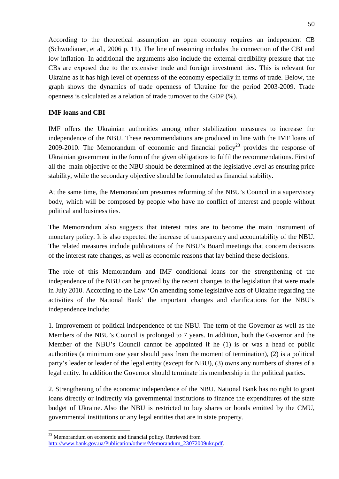According to the theoretical assumption an open economy requires an independent CB (Schwödiauer, et al., 2006 p. 11). The line of reasoning includes the connection of the CBI and low inflation. In additional the arguments also include the external credibility pressure that the CBs are exposed due to the extensive trade and foreign investment ties. This is relevant for Ukraine as it has high level of openness of the economy especially in terms of trade. Below, the graph shows the dynamics of trade openness of Ukraine for the period 2003-2009. Trade openness is calculated as a relation of trade turnover to the GDP (%).

## **IMF loans and CBI**

IMF offers the Ukrainian authorities among other stabilization measures to increase the independence of the NBU. These recommendations are produced in line with the IMF loans of 2009-2010. The Memorandum of economic and financial policy<sup>23</sup> provides the response of Ukrainian government in the form of the given obligations to fulfil the recommendations. First of all the main objective of the NBU should be determined at the legislative level as ensuring price stability, while the secondary objective should be formulated as financial stability.

At the same time, the Memorandum presumes reforming of the NBU's Council in a supervisory body, which will be composed by people who have no conflict of interest and people without political and business ties.

The Memorandum also suggests that interest rates are to become the main instrument of monetary policy. It is also expected the increase of transparency and accountability of the NBU. The related measures include publications of the NBU's Board meetings that concern decisions of the interest rate changes, as well as economic reasons that lay behind these decisions.

The role of this Memorandum and IMF conditional loans for the strengthening of the independence of the NBU can be proved by the recent changes to the legislation that were made in July 2010. According to the Law 'On amending some legislative acts of Ukraine regarding the activities of the National Bank' the important changes and clarifications for the NBU's independence include:

1. Improvement of political independence of the NBU. The term of the Governor as well as the Members of the NBU's Council is prolonged to 7 years. In addition, both the Governor and the Member of the NBU's Council cannot be appointed if he (1) is or was a head of public authorities (a minimum one year should pass from the moment of termination), (2) is a political party's leader or leader of the legal entity (except for NBU), (3) owns any numbers of shares of a legal entity. In addition the Governor should terminate his membership in the political parties.

2. Strengthening of the economic independence of the NBU. National Bank has no right to grant loans directly or indirectly via governmental institutions to finance the expenditures of the state budget of Ukraine. Also the NBU is restricted to buy shares or bonds emitted by the CMU, governmental institutions or any legal entities that are in state property.

<sup>&</sup>lt;sup>23</sup> Memorandum on economic and financial policy. Retrieved from [http://www.bank.gov.ua/Publication/others/Memorandum\\_23072009ukr.pdf.](http://www.bank.gov.ua/Publication/others/Memorandum_23072009ukr.pdf)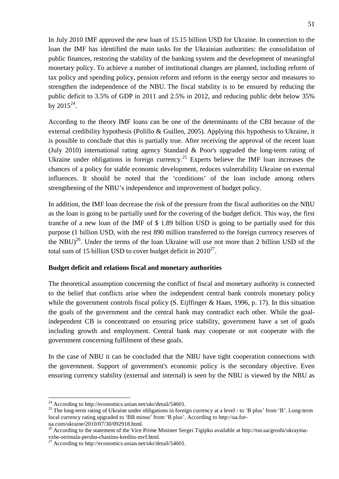In July 2010 IMF approved the new loan of 15.15 billion USD for Ukraine. In connection to the loan the IMF has identified the main tasks for the Ukrainian authorities: the consolidation of public finances, restoring the stability of the banking system and the development of meaningful monetary policy. To achieve a number of institutional changes are planned, including reform of tax policy and spending policy, pension reform and reform in the energy sector and measures to strengthen the independence of the NBU. The fiscal stability is to be ensured by reducing the public deficit to 3.5% of GDP in 2011 and 2.5% in 2012, and reducing public debt below 35% by  $2015^{24}$ .

According to the theory IMF loans can be one of the determinants of the CBI because of the external credibility hypothesis (Polillo & Guillen, 2005). Applying this hypothesis to Ukraine, it is possible to conclude that this is partially true. After receiving the approval of the recent loan (July 2010) international rating agency Standard & Poor's upgraded the long-term rating of Ukraine under obligations in foreign currency.<sup>25</sup> Experts believe the IMF loan increases the chances of a policy for stable economic development, reduces vulnerability Ukraine on external influences. It should be noted that the 'conditions' of the loan include among others strengthening of the NBU's independence and improvement of budget policy.

In addition, the IMF loan decrease the risk of the pressure from the fiscal authorities on the NBU as the loan is going to be partially used for the covering of the budget deficit. This way, the first tranche of a new loan of the IMF of \$ 1.89 billion USD is going to be partially used for this purpose (1 billion USD, with the rest 890 million transferred to the foreign currency reserves of the NBU)<sup>26</sup>. Under the terms of the loan Ukraine will use not more than 2 billion USD of the total sum of 15 billion USD to cover budget deficit in  $2010^{27}$ .

## **Budget deficit and relations fiscal and monetary authorities**

The theoretical assumption concerning the conflict of fiscal and monetary authority is connected to the belief that conflicts arise when the independent central bank controls monetary policy while the government controls fiscal policy (S. Eijffinger  $\&$  Haan, 1996, p. 17). In this situation the goals of the government and the central bank may contradict each other. While the goalindependent CB is concentrated on ensuring price stability, government have a set of goals including growth and employment. Central bank may cooperate or not cooperate with the government concerning fulfilment of these goals.

In the case of NBU it can be concluded that the NBU have tight cooperation connections with the government. Support of government's economic policy is the secondary objective. Even ensuring currency stability (external and internal) is seen by the NBU is viewed by the NBU as

<sup>&</sup>lt;sup>24</sup> According to http://economics.unian.net/ukr/detail/54601.<br><sup>25</sup> The long-term rating of Ukraine under obligations in foreign currency at a level - to 'B plus' from 'B'. Long-term local currency rating upgraded to 'BB minus' from 'B plus'. According to http://ua.forua.com/ukraine/2010/07/30/092918.html.

<sup>&</sup>lt;sup>26</sup> According to the statement of the Vice Prime Minister Sergei Tigipko available at http://tsn.ua/groshi/ukrayina-

vzhe-otrimala-pershu-chastinu-kreditu-mvf.html.<br><sup>27</sup> According to http://economics.unian.net/ukr/detail/54601.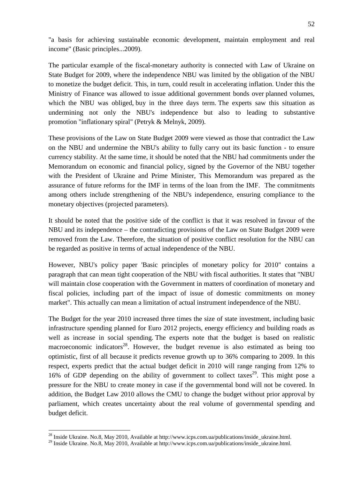"a basis for achieving sustainable economic development, maintain employment and real income" (Basic principles...2009).

The particular example of the fiscal-monetary authority is connected with Law of Ukraine on State Budget for 2009, where the independence NBU was limited by the obligation of the NBU to monetize the budget deficit. This, in turn, could result in accelerating inflation. Under this the Ministry of Finance was allowed to issue additional government bonds over planned volumes, which the NBU was obliged, buy in the three days term. The experts saw this situation as undermining not only the NBU's independence but also to leading to substantive promotion "inflationary spiral" (Petryk & Melnyk, 2009).

These provisions of the Law on State Budget 2009 were viewed as those that contradict the Law on the NBU and undermine the NBU's ability to fully carry out its basic function - to ensure currency stability. At the same time, it should be noted that the NBU had commitments under the Memorandum on economic and financial policy, signed by the Governor of the NBU together with the President of Ukraine and Prime Minister, This Memorandum was prepared as the assurance of future reforms for the IMF in terms of the loan from the IMF. The commitments among others include strengthening of the NBU's independence, ensuring compliance to the monetary objectives (projected parameters).

It should be noted that the positive side of the conflict is that it was resolved in favour of the NBU and its independence – the contradicting provisions of the Law on State Budget 2009 were removed from the Law. Therefore, the situation of positive conflict resolution for the NBU can be regarded as positive in terms of actual independence of the NBU.

However, NBU's policy paper 'Basic principles of monetary policy for 2010" contains a paragraph that can mean tight cooperation of the NBU with fiscal authorities. It states that "NBU will maintain close cooperation with the Government in matters of coordination of monetary and fiscal policies, including part of the impact of issue of domestic commitments on money market". This actually can mean a limitation of actual instrument independence of the NBU.

The Budget for the year 2010 increased three times the size of state investment, including basic infrastructure spending planned for Euro 2012 projects, energy efficiency and building roads as well as increase in social spending. The experts note that the budget is based on realistic macroeconomic indicators<sup>28</sup>. However, the budget revenue is also estimated as being too optimistic, first of all because it predicts revenue growth up to 36% comparing to 2009. In this respect, experts predict that the actual budget deficit in 2010 will range ranging from 12% to 16% of GDP depending on the ability of government to collect taxes<sup>29</sup>. This might pose a pressure for the NBU to create money in case if the governmental bond will not be covered. In addition, the Budget Law 2010 allows the CMU to change the budget without prior approval by parliament, which creates uncertainty about the real volume of governmental spending and budget deficit.

<sup>&</sup>lt;sup>28</sup> Inside Ukraine. No.8, May 2010, Available at http://www.icps.com.ua/publications/inside\_ukraine.html.

<sup>&</sup>lt;sup>29</sup> Inside Ukraine. No.8, May 2010, Available at http://www.icps.com.ua/publications/inside\_ukraine.html.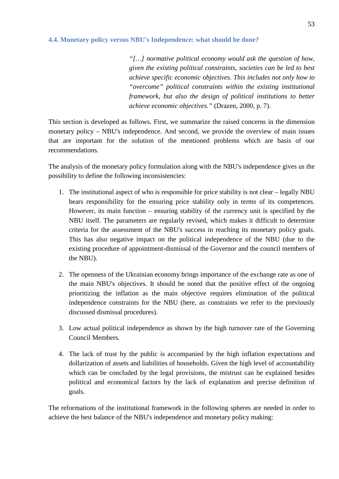## <span id="page-52-0"></span>**4.4. Monetary policy versus NBU's Independence: what should be done?**

*"[…] normative political economy would ask the question of how, given the existing political constraints, societies can be led to best achieve specific economic objectives. This includes not only how to "overcome" political constraints within the existing institutional framework, but also the design of political institutions to better achieve economic objectives."* (Drazen, 2000, p. 7).

This section is developed as follows. First, we summarize the raised concerns in the dimension monetary policy – NBU's independence. And second, we provide the overview of main issues that are important for the solution of the mentioned problems which are basis of our recommendations.

The analysis of the monetary policy formulation along with the NBU's independence gives us the possibility to define the following inconsistencies:

- 1. The institutional aspect of who is responsible for price stability is not clear legally NBU bears responsibility for the ensuring price stability only in terms of its competences. However, its main function – ensuring stability of the currency unit is specified by the NBU itself. The parameters are regularly revised, which makes it difficult to determine criteria for the assessment of the NBU's success in reaching its monetary policy goals. This has also negative impact on the political independence of the NBU (due to the existing procedure of appointment-dismissal of the Governor and the council members of the NBU).
- 2. The openness of the Ukrainian economy brings importance of the exchange rate as one of the main NBU's objectives. It should be noted that the positive effect of the ongoing prioritizing the inflation as the main objective requires elimination of the political independence constraints for the NBU (here, as constraints we refer to the previously discussed dismissal procedures).
- 3. Low actual political independence as shown by the high turnover rate of the Governing Council Members.
- 4. The lack of trust by the public is accompanied by the high inflation expectations and dollarization of assets and liabilities of households. Given the high level of accountability which can be concluded by the legal provisions, the mistrust can be explained besides political and economical factors by the lack of explanation and precise definition of goals.

The reformations of the institutional framework in the following spheres are needed in order to achieve the best balance of the NBU's independence and monetary policy making: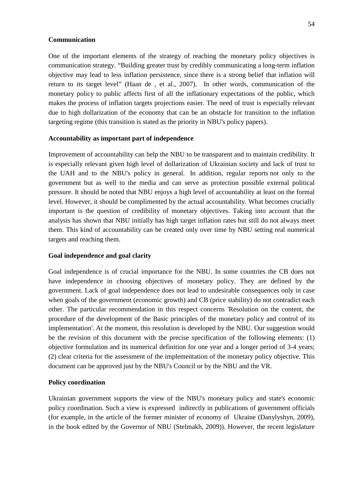#### **Communication**

One of the important elements of the strategy of reaching the monetary policy objectives is communication strategy. "Building greater trust by credibly communicating a long-term inflation objective may lead to less inflation persistence, since there is a strong belief that inflation will return to its target level" (Haan de , et al., 2007). In other words, communication of the monetary policy to public affects first of all the inflationary expectations of the public, which makes the process of inflation targets projections easier. The need of trust is especially relevant due to high dollarization of the economy that can be an obstacle for transition to the inflation targeting regime (this transition is stated as the priority in NBU's policy papers).

#### **Accountability as important part of independence**

Improvement of accountability can help the NBU to be transparent and to maintain credibility. It is especially relevant given high level of dollarization of Ukrainian society and lack of trust to the UAH and to the NBU's policy in general. In addition, regular reports not only to the government but as well to the media and can serve as protection possible external political pressure. It should be noted that NBU enjoys a high level of accountability at least on the formal level. However, it should be complimented by the actual accountability. What becomes crucially important is the question of credibility of monetary objectives. Taking into account that the analysis has shown that NBU initially has high target inflation rates but still do not always meet them. This kind of accountability can be created only over time by NBU setting real numerical targets and reaching them.

#### **Goal independence and goal clarity**

Goal independence is of crucial importance for the NBU. In some countries the CB does not have independence in choosing objectives of monetary policy. They are defined by the government. Lack of goal independence does not lead to undesirable consequences only in case when goals of the government (economic growth) and CB (price stability) do not contradict each other. The particular recommendation in this respect concerns 'Resolution on the content, the procedure of the development of the Basic principles of the monetary policy and control of its implementation'. At the moment, this resolution is developed by the NBU. Our suggestion would be the revision of this document with the precise specification of the following elements: (1) objective formulation and its numerical definition for one year and a longer period of 3-4 years; (2) clear criteria for the assessment of the implementation of the monetary policy objective. This document can be approved just by the NBU's Council or by the NBU and the VR.

#### **Policy coordination**

Ukrainian government supports the view of the NBU's monetary policy and state's economic policy coordination. Such a view is expressed indirectly in publications of government officials (for example, in the article of the former minister of economy of Ukraine (Danylyshyn, 2009), in the book edited by the Governor of NBU (Stelmakh, 2009)). However, the recent legislature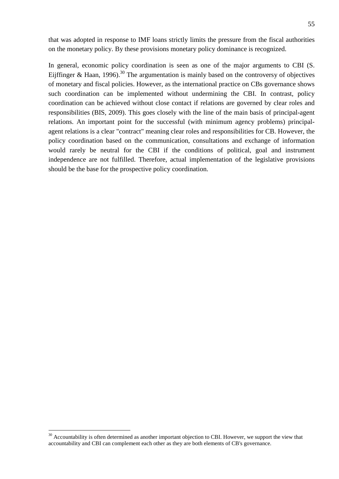that was adopted in response to IMF loans strictly limits the pressure from the fiscal authorities on the monetary policy. By these provisions monetary policy dominance is recognized.

In general, economic policy coordination is seen as one of the major arguments to CBI (S. Eijffinger & Haan, 1996).<sup>30</sup> The argumentation is mainly based on the controversy of objectives of monetary and fiscal policies. However, as the international practice on CBs governance shows such coordination can be implemented without undermining the CBI. In contrast, policy coordination can be achieved without close contact if relations are governed by clear roles and responsibilities (BIS, 2009). This goes closely with the line of the main basis of principal-agent relations. An important point for the successful (with minimum agency problems) principalagent relations is a clear "contract" meaning clear roles and responsibilities for CB. However, the policy coordination based on the communication, consultations and exchange of information would rarely be neutral for the CBI if the conditions of political, goal and instrument independence are not fulfilled. Therefore, actual implementation of the legislative provisions should be the base for the prospective policy coordination.

<sup>&</sup>lt;sup>30</sup> Accountability is often determined as another important objection to CBI. However, we support the view that accountability and CBI can complement each other as they are both elements of CB's governance.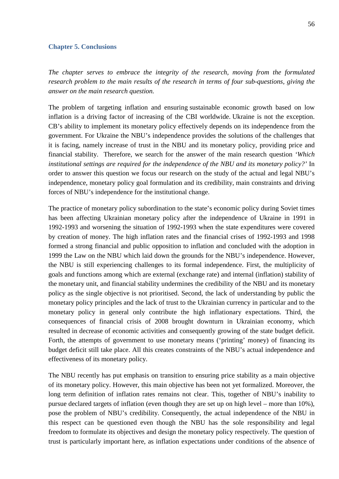#### <span id="page-55-0"></span>**Chapter 5. Conclusions**

*The chapter serves to embrace the integrity of the research, moving from the formulated research problem to the main results of the research in terms of four sub-questions, giving the answer on the main research question.* 

The problem of targeting inflation and ensuring sustainable economic growth based on low inflation is a driving factor of increasing of the CBI worldwide. Ukraine is not the exception. CB's ability to implement its monetary policy effectively depends on its independence from the government. For Ukraine the NBU's independence provides the solutions of the challenges that it is facing, namely increase of trust in the NBU and its monetary policy, providing price and financial stability. Therefore, we search for the answer of the main research question *'Which institutional settings are required for the independence of the NBU and its monetary policy?'* In order to answer this question we focus our research on the study of the actual and legal NBU's independence, monetary policy goal formulation and its credibility, main constraints and driving forces of NBU's independence for the institutional change.

The practice of monetary policy subordination to the state's economic policy during Soviet times has been affecting Ukrainian monetary policy after the independence of Ukraine in 1991 in 1992-1993 and worsening the situation of 1992-1993 when the state expenditures were covered by creation of money. The high inflation rates and the financial crises of 1992-1993 and 1998 formed a strong financial and public opposition to inflation and concluded with the adoption in 1999 the Law on the NBU which laid down the grounds for the NBU's independence. However, the NBU is still experiencing challenges to its formal independence. First, the multiplicity of goals and functions among which are external (exchange rate) and internal (inflation) stability of the monetary unit, and financial stability undermines the credibility of the NBU and its monetary policy as the single objective is not prioritised. Second, the lack of understanding by public the monetary policy principles and the lack of trust to the Ukrainian currency in particular and to the monetary policy in general only contribute the high inflationary expectations. Third, the consequences of financial crisis of 2008 brought downturn in Ukrainian economy, which resulted in decrease of economic activities and consequently growing of the state budget deficit. Forth, the attempts of government to use monetary means ('printing' money) of financing its budget deficit still take place. All this creates constraints of the NBU's actual independence and effectiveness of its monetary policy.

The NBU recently has put emphasis on transition to ensuring price stability as a main objective of its monetary policy. However, this main objective has been not yet formalized. Moreover, the long term definition of inflation rates remains not clear. This, together of NBU's inability to pursue declared targets of inflation (even though they are set up on high level – more than 10%), pose the problem of NBU's credibility. Consequently, the actual independence of the NBU in this respect can be questioned even though the NBU has the sole responsibility and legal freedom to formulate its objectives and design the monetary policy respectively. The question of trust is particularly important here, as inflation expectations under conditions of the absence of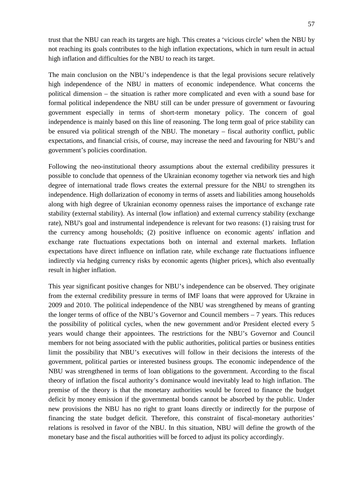trust that the NBU can reach its targets are high. This creates a 'vicious circle' when the NBU by not reaching its goals contributes to the high inflation expectations, which in turn result in actual high inflation and difficulties for the NBU to reach its target.

The main conclusion on the NBU's independence is that the legal provisions secure relatively high independence of the NBU in matters of economic independence. What concerns the political dimension – the situation is rather more complicated and even with a sound base for formal political independence the NBU still can be under pressure of government or favouring government especially in terms of short-term monetary policy. The concern of goal independence is mainly based on this line of reasoning. The long term goal of price stability can be ensured via political strength of the NBU. The monetary – fiscal authority conflict, public expectations, and financial crisis, of course, may increase the need and favouring for NBU's and government's policies coordination.

Following the neo-institutional theory assumptions about the external credibility pressures it possible to conclude that openness of the Ukrainian economy together via network ties and high degree of international trade flows creates the external pressure for the NBU to strengthen its independence. High dollarization of economy in terms of assets and liabilities among households along with high degree of Ukrainian economy openness raises the importance of exchange rate stability (external stability). As internal (low inflation) and external currency stability (exchange rate), NBU's goal and instrumental independence is relevant for two reasons: (1) raising trust for the currency among households; (2) positive influence on economic agents' inflation and exchange rate fluctuations expectations both on internal and external markets. Inflation expectations have direct influence on inflation rate, while exchange rate fluctuations influence indirectly via hedging currency risks by economic agents (higher prices), which also eventually result in higher inflation.

This year significant positive changes for NBU's independence can be observed. They originate from the external credibility pressure in terms of IMF loans that were approved for Ukraine in 2009 and 2010. The political independence of the NBU was strengthened by means of granting the longer terms of office of the NBU's Governor and Council members – 7 years. This reduces the possibility of political cycles, when the new government and/or President elected every 5 years would change their appointees. The restrictions for the NBU's Governor and Council members for not being associated with the public authorities, political parties or business entities limit the possibility that NBU's executives will follow in their decisions the interests of the government, political parties or interested business groups. The economic independence of the NBU was strengthened in terms of loan obligations to the government. According to the fiscal theory of inflation the fiscal authority's dominance would inevitably lead to high inflation. The premise of the theory is that the monetary authorities would be forced to finance the budget deficit by money emission if the governmental bonds cannot be absorbed by the public. Under new provisions the NBU has no right to grant loans directly or indirectly for the purpose of financing the state budget deficit. Therefore, this constraint of fiscal-monetary authorities' relations is resolved in favor of the NBU. In this situation, NBU will define the growth of the monetary base and the fiscal authorities will be forced to adjust its policy accordingly.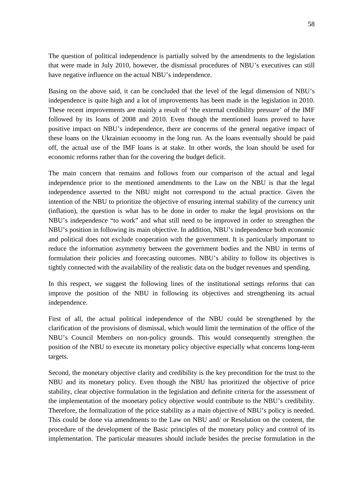The question of political independence is partially solved by the amendments to the legislation that were made in July 2010, however, the dismissal procedures of NBU's executives can still have negative influence on the actual NBU's independence.

Basing on the above said, it can be concluded that the level of the legal dimension of NBU's independence is quite high and a lot of improvements has been made in the legislation in 2010. These recent improvements are mainly a result of 'the external credibility pressure' of the IMF followed by its loans of 2008 and 2010. Even though the mentioned loans proved to have positive impact on NBU's independence, there are concerns of the general negative impact of these loans on the Ukrainian economy in the long run. As the loans eventually should be paid off, the actual use of the IMF loans is at stake. In other words, the loan should be used for economic reforms rather than for the covering the budget deficit.

The main concern that remains and follows from our comparison of the actual and legal independence prior to the mentioned amendments to the Law on the NBU is that the legal independence asserted to the NBU might not correspond to the actual practice. Given the intention of the NBU to prioritize the objective of ensuring internal stability of the currency unit (inflation), the question is what has to be done in order to make the legal provisions on the NBU's independence "to work" and what still need to be improved in order to strengthen the NBU's position in following its main objective. In addition, NBU's independence both economic and political does not exclude cooperation with the government. It is particularly important to reduce the information asymmetry between the government bodies and the NBU in terms of formulation their policies and forecasting outcomes. NBU's ability to follow its objectives is tightly connected with the availability of the realistic data on the budget revenues and spending.

In this respect, we suggest the following lines of the institutional settings reforms that can improve the position of the NBU in following its objectives and strengthening its actual independence.

First of all, the actual political independence of the NBU could be strengthened by the clarification of the provisions of dismissal, which would limit the termination of the office of the NBU's Council Members on non-policy grounds. This would consequently strengthen the position of the NBU to execute its monetary policy objective especially what concerns long-term targets.

Second, the monetary objective clarity and credibility is the key precondition for the trust to the NBU and its monetary policy. Even though the NBU has prioritized the objective of price stability, clear objective formulation in the legislation and definite criteria for the assessment of the implementation of the monetary policy objective would contribute to the NBU's credibility. Therefore, the formalization of the price stability as a main objective of NBU's policy is needed. This could be done via amendments to the Law on NBU and/ or Resolution on the content, the procedure of the development of the Basic principles of the monetary policy and control of its implementation. The particular measures should include besides the precise formulation in the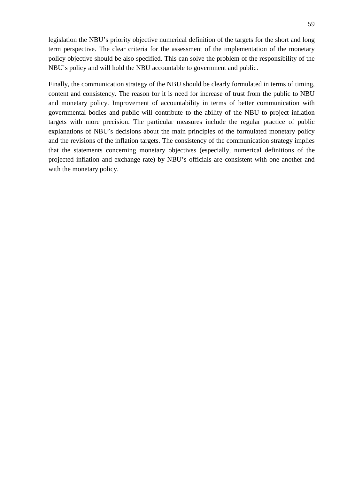legislation the NBU's priority objective numerical definition of the targets for the short and long term perspective. The clear criteria for the assessment of the implementation of the monetary policy objective should be also specified. This can solve the problem of the responsibility of the NBU's policy and will hold the NBU accountable to government and public.

Finally, the communication strategy of the NBU should be clearly formulated in terms of timing, content and consistency. The reason for it is need for increase of trust from the public to NBU and monetary policy. Improvement of accountability in terms of better communication with governmental bodies and public will contribute to the ability of the NBU to project inflation targets with more precision. The particular measures include the regular practice of public explanations of NBU's decisions about the main principles of the formulated monetary policy and the revisions of the inflation targets. The consistency of the communication strategy implies that the statements concerning monetary objectives (especially, numerical definitions of the projected inflation and exchange rate) by NBU's officials are consistent with one another and with the monetary policy.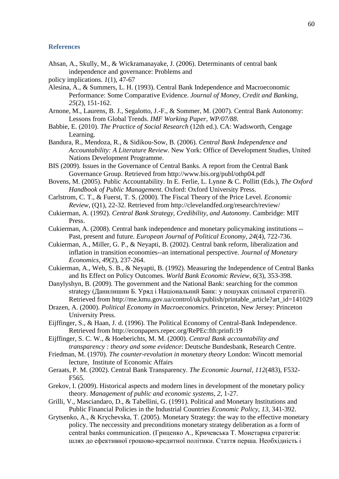#### <span id="page-59-0"></span>**References**

Ahsan, A., Skully, M., & Wickramanayake, J. (2006). Determinants of central bank independence and governance: Problems and

- Alesina, A., & Summers, L. H. (1993). Central Bank Independence and Macroeconomic Performance: Some Comparative Evidence. *Journal of Money, Credit and Banking, 25*(2), 151-162.
- Arnone, M., Laurens, B. J., Segalotto, J.-F., & Sommer, M. (2007). Central Bank Autonomy: Lessons from Global Trends. *IMF Working Paper, WP/07/88*.
- Babbie, E. (2010). *The Practice of Social Research* (12th ed.). CA: Wadsworth, Cengage Learning.
- Bandura, R., Mendoza, R., & Sidikou-Sow, B. (2006). *Central Bank Independence and Accountability: A Literature Review*. New York: Office of Development Studies, United Nations Development Programme.
- BIS (2009). Issues in the Governance of Central Banks. A report from the Central Bank Governance Group. Retrieved from<http://www.bis.org/publ/othp04.pdf>
- Bovens, M. (2005). Public Accountability. In E. Ferlie, L. Lynne & C. Pollitt (Eds.), *The Oxford Handbook of Public Management*. Oxford: Oxford University Press.
- Carlstrom, C. T., & Fuerst, T. S. (2000). The Fiscal Theory of the Price Level. *Economic Review,* (Q1), 22-32. Retrieved from<http://clevelandfed.org/research/review/>
- Cukierman, A. (1992). *Central Bank Strategy, Credibility, and Autonomy*. Cambridge: MIT Press.
- Cukierman, A. (2008). Central bank independence and monetary policymaking institutions -- Past, present and future. *European Journal of Political Economy, 24*(4), 722-736.
- Cukierman, A., Miller, G. P., & Neyapti, B. (2002). Central bank reform, liberalization and inflation in transition economies--an international perspective. *Journal of Monetary Economics, 49*(2), 237-264.
- Cukierman, A., Web, S. B., & Neyapti, B. (1992). Measuring the Independence of Central Banks and Its Effect on Policy Outcomes. *World Bank Economic Review, 6*(3), 353-398.
- Danylyshyn, B. (2009). The government and the National Bank: searching for the common strategy (Данилишин Б. Уряд і Національний Банк: у пошуках спільної стратегії). Retrieved from [http://me.kmu.gov.ua/control/uk/publish/printable\\_article?art\\_id=141029](http://me.kmu.gov.ua/control/uk/publish/printable_article?art_id=141029)
- Drazen, A. (2000). *Political Economy in Macroeconomics*. Princeton, New Jersey: Princeton University Press.
- Eijffinger, S., & Haan, J. d. (1996). The Political Economy of Central-Bank Independence. Retrieved from<http://econpapers.repec.org/RePEc:fth:prinfi:19>
- Eijffinger, S. C. W., & Hoeberichts, M. M. (2000). *Central Bank accountability and transparency : theory and some evidence*: Deutsche Bundesbank, Research Centre.
- Friedman, M. (1970). *The counter-revolution in monetary theory* London: Wincott memorial lecture, Institute of Economic Affairs
- Geraats, P. M. (2002). Central Bank Transparency. *The Economic Journal, 112*(483), F532- F565.
- Grekov, I. (2009). Historical aspects and modern lines in development of the monetary policy theory. *Management of public and economic systems, 2*, 1-27.
- Grilli, V., Masciandaro, D., & Tabellini, G. (1991). Political and Monetary Institutions and Public Financial Policies in the Industrial Countries *Economic Policy, 13*, 341-392.
- Grytsenko, A., & Krychevska, T. (2005). Monetary Strategy: the way to the effective monetary policy. The neccessity and preconditions monetary strategy deliberation as a form of central banks communication. (Гриценко А., Кричевська Т. Монетарна стратегія: шлях до ефективної грошово-кредитної політики. Cтаття перша. Необхідність і

policy implications. *1*(1), 47-67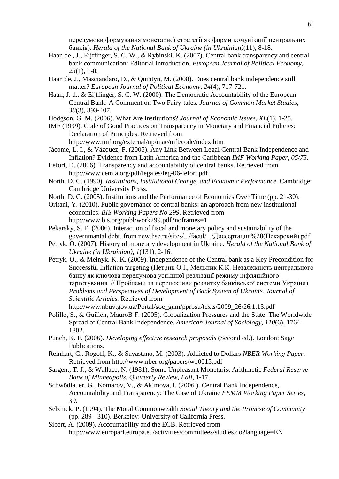передумови формування монетарної стратегії як форми комунікації центральних банків). *Herald of the National Bank of Ukraine (in Ukrainian)*(11), 8-18.

- Haan de , J., Eijffinger, S. C. W., & Rybinski, K. (2007). Central bank transparency and central bank communication: Editorial introduction. *European Journal of Political Economy, 23*(1), 1-8.
- Haan de, J., Masciandaro, D., & Quintyn, M. (2008). Does central bank independence still matter? *European Journal of Political Economy, 24*(4), 717-721.
- Haan, J. d., & Eijffinger, S. C. W. (2000). The Democratic Accountability of the European Central Bank: A Comment on Two Fairy-tales. *Journal of Common Market Studies, 38*(3), 393-407.
- Hodgson, G. M. (2006). What Are Institutions? *Journal of Economic Issues, XL*(1), 1-25.
- IMF (1999). Code of Good Practices on Transparency in Monetary and Financial Policies: Declaration of Principles. Retrieved from

<http://www.imf.org/external/np/mae/mft/code/index.htm>

- Jácome, L. I., & Vázquez, F. (2005). Any Link Between Legal Central Bank Independence and Inflation? Evidence from Latin America and the Caribbean *IMF Working Paper, 05/75*.
- Lefort, D. (2006). Transparency and accountability of central banks. Retrieved from <http://www.cemla.org/pdf/legales/leg-06-lefort.pdf>
- North, D. C. (1990). *Institutions, Institutional Change, and Economic Performance*. Cambridge: Cambridge University Press.
- North, D. C. (2005). Institutions and the Performance of Economies Over Time (pp. 21-30).
- Oritani, Y. (2010). Public governance of central banks: an approach from new institutional economics. *BIS Working Papers No 299*. Retrieved from <http://www.bis.org/publ/work299.pdf?noframes=1>
- Pekarsky, S. E. (2006). Interaction of fiscal and monetary policy and sustainability of the governmantal debt, from new.hse.ru/sites/.../facul/.../Диссертация%20(Пекарский).pdf
- Petryk, O. (2007). History of monetary development in Ukraine. *Herald of the National Bank of Ukraine (in Ukrainian), 1*(131), 2-16.
- Petryk, O., & Melnyk, K. K. (2009). Independence of the Central bank as a Key Precondition for Successful Inflation targeting (Петрик О.І., Мельник К.К. Незалежність центрального банку як ключова передумова успішної реалізації режиму інфляційного таргетування. // Проблеми та перспективи розвитку банківської системи України) *Problems and Perspectives of Development of Bank System of Ukraine. Journal of Scientific Articles.* Retrieved from

[http://www.nbuv.gov.ua/Portal/soc\\_gum/pprbsu/texts/2009\\_26/26.1.13.pdf](http://www.nbuv.gov.ua/Portal/soc_gum/pprbsu/texts/2009_26/26.1.13.pdf)

- Polillo, S., & Guillen, MauroВ F. (2005). Globalization Pressures and the State: The Worldwide Spread of Central Bank Independence. *American Journal of Sociology, 110*(6), 1764- 1802.
- Punch, K. F. (2006). *Developing effective research proposals* (Second ed.). London: Sage Publications.
- Reinhart, C., Rogoff, K., & Savastano, M. (2003). Addicted to Dollars *NBER Working Paper*. Retrieved from<http://www.nber.org/papers/w10015.pdf>
- Sargent, T. J., & Wallace, N. (1981). Some Unpleasant Monetarist Arithmetic *Federal Reserve Bank of Minneapolis. Quarterly Review, Fall*, 1-17.
- Schwödiauer, G., Komarov, V., & Akimova, I. (2006 ). Central Bank Independence, Accountability and Transparency: The Case of Ukraine *FEMM Working Paper Series, 30*.
- Selznick, P. (1994). The Moral Commonwealth *Social Theory and the Promise of Community* (pp. 289 - 310). Berkeley: University of California Press.
- Sibert, A. (2009). Accountability and the ECB. Retrieved from <http://www.europarl.europa.eu/activities/committees/studies.do?language=EN>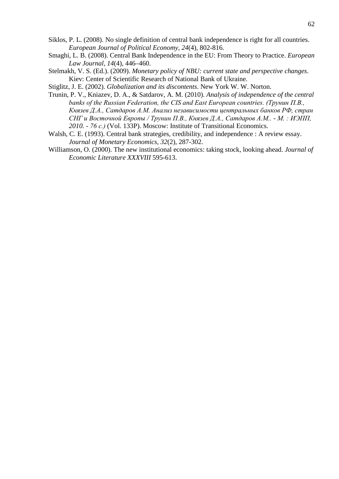- Siklos, P. L. (2008). No single definition of central bank independence is right for all countries. *European Journal of Political Economy, 24*(4), 802-816.
- Smaghi, L. B. (2008). Central Bank Independence in the EU: From Theory to Practice. *European Law Journal, 14*(4), 446–460.
- Stelmakh, V. S. (Ed.). (2009). *Monetary policy of NBU: current state and perspective changes*. Kiev: Center of Scientific Research of National Bank of Ukraine.
- Stiglitz, J. E. (2002). *Globalization and its discontents*. New York W. W. Norton.
- Trunin, P. V., Kniazev, D. A., & Satdarov, A. M. (2010). *Analysis of independence of the central banks of the Russian Federation, the CIS and East European countries. (Трунин П.В., Князев Д.А., Сатдаров А.М. Анализ независимости центральных банков РФ, стран СНГ и Восточной Европы / Трунин П.В., Князев Д.А., Сатдаров А.М.. - М. : ИЭПП, 2010. - 76 с.)* (Vol. 133P). Moscow: Institute of Transitional Economics.
- Walsh, C. E. (1993). Central bank strategies, credibility, and independence : A review essay. *Journal of Monetary Economics, 32*(2), 287-302.
- Williamson, O. (2000). The new institutional economics: taking stock, looking ahead. *Journal of Economic Literature XXXVIII* 595-613.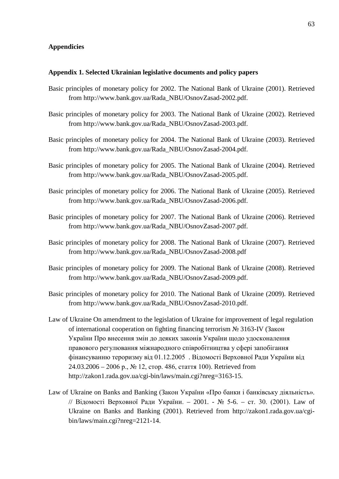### <span id="page-62-0"></span>**Appendicies**

#### <span id="page-62-1"></span>**Appendix 1. Selected Ukrainian legislative documents and policy papers**

- Basic principles of monetary policy for 2002. The National Bank of Ukraine (2001). Retrieved from http://www.bank.gov.ua/Rada\_NBU/OsnovZasad-2002.pdf.
- Basic principles of monetary policy for 2003. The National Bank of Ukraine (2002). Retrieved from http://www.bank.gov.ua/Rada\_NBU/OsnovZasad-2003.pdf.
- Basic principles of monetary policy for 2004. The National Bank of Ukraine (2003). Retrieved from http://www.bank.gov.ua/Rada\_NBU/OsnovZasad-2004.pdf.
- Basic principles of monetary policy for 2005. The National Bank of Ukraine (2004). Retrieved from http://www.bank.gov.ua/Rada\_NBU/OsnovZasad-2005.pdf.
- Basic principles of monetary policy for 2006. The National Bank of Ukraine (2005). Retrieved from http://www.bank.gov.ua/Rada\_NBU/OsnovZasad-2006.pdf.
- Basic principles of monetary policy for 2007. The National Bank of Ukraine (2006). Retrieved from http://www.bank.gov.ua/Rada\_NBU/OsnovZasad-2007.pdf.
- Basic principles of monetary policy for 2008. The National Bank of Ukraine (2007). Retrieved from http://www.bank.gov.ua/Rada\_NBU/OsnovZasad-2008.pdf
- Basic principles of monetary policy for 2009. The National Bank of Ukraine (2008). Retrieved from http://www.bank.gov.ua/Rada\_NBU/OsnovZasad-2009.pdf.
- Basic principles of monetary policy for 2010. The National Bank of Ukraine (2009). Retrieved from http://www.bank.gov.ua/Rada\_NBU/OsnovZasad-2010.pdf.
- Law of Ukraine On amendment to the legislation of Ukraine for improvement of legal regulation of international cooperation on fighting financing terrorism № 3163-IV (Закон України Про внесення змін до деяких законів України щодо удосконалення правового регулювання міжнародного співробітництва у сфері запобігання фінансуванню тероризму вiд 01.12.2005 . Відомості Верховної Ради України вiд 24.03.2006 – 2006 р., № 12, стор. 486, стаття 100). Retrieved from http://zakon1.rada.gov.ua/cgi-bin/laws/main.cgi?nreg=3163-15.
- Law of Ukraine on Banks and Banking (Закон України «Про банки і банківську діяльність». // Відомості Верховної Ради України. – 2001. - № 5-6. – ст. 30. (2001). Law of Ukraine on Banks and Banking (2001). Retrieved from http://zakon1.rada.gov.ua/cgibin/laws/main.cgi?nreg=2121-14.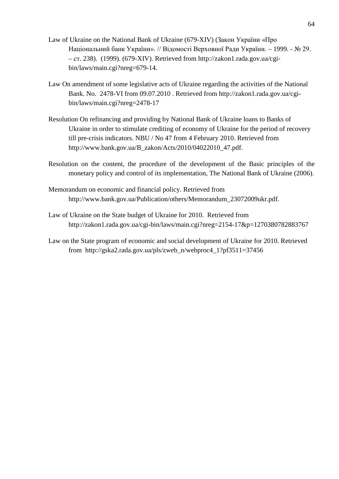- Law of Ukraine on the National Bank of Ukraine (679-XIV) (Закон України «Про Національний банк України». // Відомості Верховної Ради України. – 1999. - № 29. – ст. 238). (1999). (679-XIV). Retrieved from [http://zakon1.rada.gov.ua/cgi](http://zakon1.rada.gov.ua/cgi-bin/laws/main.cgi?nreg=679-14)[bin/laws/main.cgi?nreg=679-14.](http://zakon1.rada.gov.ua/cgi-bin/laws/main.cgi?nreg=679-14)
- Law On amendment of some legislative acts of Ukraine regarding the activities of the National Bank. No. 2478-VI from 09.07.2010 . Retrieved from http://zakon1.rada.gov.ua/cgibin/laws/main.cgi?nreg=2478-17
- Resolution On refinancing and providing by National Bank of Ukraine loans to Banks of Ukraine in order to stimulate crediting of economy of Ukraine for the period of recovery till pre-crisis indicators. NBU / No 47 from 4 February 2010. Retrieved from http://www.bank.gov.ua/B\_zakon/Acts/2010/04022010\_47.pdf.
- Resolution on the content, the procedure of the development of the Basic principles of the monetary policy and control of its implementation, The National Bank of Ukraine (2006).
- Memorandum on economic and financial policy. Retrieved from [http://www.bank.gov.ua/Publication/others/Memorandum\\_23072009ukr.pdf.](http://www.bank.gov.ua/Publication/others/Memorandum_23072009ukr.pdf)
- Law of Ukraine on the State budget of Ukraine for 2010. Retrieved from <http://zakon1.rada.gov.ua/cgi-bin/laws/main.cgi?nreg=2154-17&p=1270380782883767>
- Law on the State program of economic and social development of Ukraine for 2010. Retrieved from [http://gska2.rada.gov.ua/pls/zweb\\_n/webproc4\\_1?pf3511=37456](http://gska2.rada.gov.ua/pls/zweb_n/webproc4_1?pf3511=37456)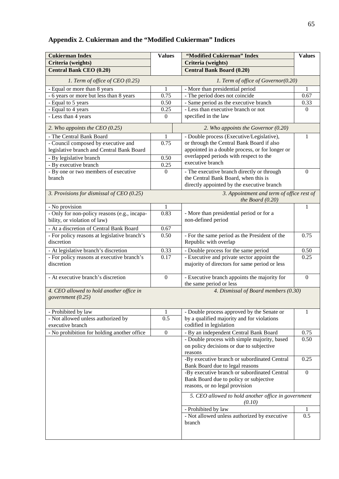# <span id="page-64-0"></span>**Appendix 2. Cukierman and the "Modified Cukierman" Indices**

| <b>Cukierman Index</b>                                                       | <b>Values</b>                                                                    | "Modified Cukierman" Index                                               | <b>Values</b>    |  |  |
|------------------------------------------------------------------------------|----------------------------------------------------------------------------------|--------------------------------------------------------------------------|------------------|--|--|
| Criteria (weights)                                                           |                                                                                  | Criteria (weights)                                                       |                  |  |  |
| <b>Central Bank CEO (0.20)</b>                                               |                                                                                  | <b>Central Bank Board (0.20)</b>                                         |                  |  |  |
| 1. Term of office of CEO (0.25)                                              |                                                                                  | 1. Term of office of Governor(0.20)                                      |                  |  |  |
| - Equal or more than 8 years                                                 | 1                                                                                | - More than presidential period                                          |                  |  |  |
| - 6 years or more but less than 8 years                                      | 0.75                                                                             | - The period does not coincide                                           | 0.67             |  |  |
| - Equal to 5 years                                                           | 0.50                                                                             | - Same period as the executive branch                                    | 0.33             |  |  |
| - Equal to 4 years                                                           | 0.25                                                                             | - Less than executive branch or not                                      | $\Omega$         |  |  |
| - Less than 4 years                                                          | $\overline{0}$                                                                   | specified in the law                                                     |                  |  |  |
| 2. Who appoints the CEO $(0.25)$                                             |                                                                                  | 2. Who appoints the Governor $(0.20)$                                    |                  |  |  |
| - The Central Bank Board                                                     | 1                                                                                | - Double process (Executive/Legislative),                                | 1                |  |  |
| - Council composed by executive and                                          | 0.75                                                                             | or through the Central Bank Board if also                                |                  |  |  |
| legislative branch and Central Bank Board                                    |                                                                                  | appointed in a double process, or for longer or                          |                  |  |  |
| - By legislative branch                                                      | 0.50                                                                             | overlapped periods with respect to the                                   |                  |  |  |
| - By executive branch                                                        | 0.25                                                                             | executive branch                                                         |                  |  |  |
| - By one or two members of executive                                         | $\overline{0}$                                                                   | - The executive branch directly or through                               | $\mathbf{0}$     |  |  |
| branch                                                                       |                                                                                  | the Central Bank Board, when this is                                     |                  |  |  |
|                                                                              |                                                                                  | directly appointed by the executive branch                               |                  |  |  |
| 3. Provisions for dismissal of CEO (0.25)                                    |                                                                                  | 3. Appointment and term of office rest of<br>the Board $(0.20)$          |                  |  |  |
| - No provision                                                               | 1                                                                                |                                                                          | 1                |  |  |
| - Only for non-policy reasons (e.g., incapa-<br>bility, or violation of law) | 0.83                                                                             | - More than presidential period or for a<br>non-defined period           |                  |  |  |
| - At a discretion of Central Bank Board                                      | 0.67                                                                             |                                                                          |                  |  |  |
| - For policy reasons at legislative branch's                                 | 0.50                                                                             | - For the same period as the President of the                            | 0.75             |  |  |
| discretion                                                                   |                                                                                  | Republic with overlap                                                    |                  |  |  |
| - At legislative branch's discretion                                         | 0.33                                                                             | - Double process for the same period                                     | 0.50             |  |  |
| - For policy reasons at executive branch's                                   | 0.17                                                                             | - Executive and private sector appoint the                               | 0.25             |  |  |
| discretion                                                                   |                                                                                  | majority of directors for same period or less                            |                  |  |  |
| - At executive branch's discretion                                           | $\boldsymbol{0}$                                                                 | - Executive branch appoints the majority for<br>the same period or less  | $\overline{0}$   |  |  |
|                                                                              |                                                                                  |                                                                          |                  |  |  |
| government (0.25)                                                            | 4. Dismissal of Board members (0.30)<br>4. CEO allowed to hold another office in |                                                                          |                  |  |  |
|                                                                              |                                                                                  |                                                                          |                  |  |  |
| - Prohibited by law                                                          | 1                                                                                | - Double process approved by the Senate or                               | 1                |  |  |
| - Not allowed unless authorized by                                           | 0.5                                                                              | by a qualified majority and for violations                               |                  |  |  |
| executive branch                                                             |                                                                                  | codified in legislation                                                  |                  |  |  |
| - No prohibition for holding another office                                  | $\boldsymbol{0}$                                                                 | - By an independent Central Bank Board                                   | 0.75             |  |  |
|                                                                              |                                                                                  | - Double process with simple majority, based                             | 0.50             |  |  |
|                                                                              |                                                                                  | on policy decisions or due to subjective                                 |                  |  |  |
|                                                                              |                                                                                  | reasons                                                                  |                  |  |  |
|                                                                              |                                                                                  | -By executive branch or subordinated Central                             | 0.25             |  |  |
|                                                                              |                                                                                  | Bank Board due to legal reasons                                          |                  |  |  |
|                                                                              |                                                                                  | -By executive branch or subordinated Central                             | $\boldsymbol{0}$ |  |  |
|                                                                              |                                                                                  | Bank Board due to policy or subjective<br>reasons, or no legal provision |                  |  |  |
|                                                                              |                                                                                  | 5. CEO allowed to hold another office in government<br>(0.10)            |                  |  |  |
|                                                                              |                                                                                  | - Prohibited by law                                                      |                  |  |  |
|                                                                              |                                                                                  | - Not allowed unless authorized by executive                             | 0.5              |  |  |
|                                                                              |                                                                                  | branch                                                                   |                  |  |  |
|                                                                              |                                                                                  |                                                                          |                  |  |  |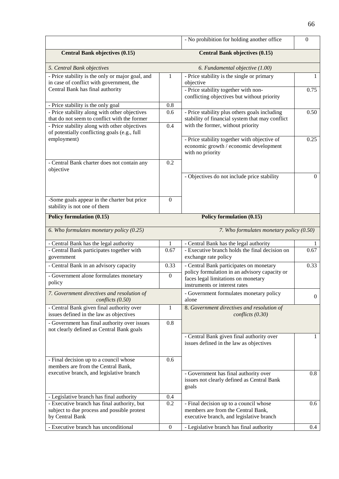|                                                                                                                                               |                  | - No prohibition for holding another office                                                                              | $\Omega$         |
|-----------------------------------------------------------------------------------------------------------------------------------------------|------------------|--------------------------------------------------------------------------------------------------------------------------|------------------|
| <b>Central Bank objectives (0.15)</b>                                                                                                         |                  | <b>Central Bank objectives (0.15)</b>                                                                                    |                  |
| 5. Central Bank objectives                                                                                                                    |                  | 6. Fundamental objective (1.00)                                                                                          |                  |
| - Price stability is the only or major goal, and<br>in case of conflict with government, the                                                  | 1                | - Price stability is the single or primary<br>objective                                                                  | 1                |
| Central Bank has final authority                                                                                                              |                  | - Price stability together with non-<br>conflicting objectives but without priority                                      | 0.75             |
| - Price stability is the only goal<br>- Price stability along with other objectives                                                           | 0.8<br>0.6       | - Price stability plus others goals including                                                                            | 0.50             |
| that do not seem to conflict with the former<br>- Price stability along with other objectives<br>of potentially conflicting goals (e.g., full | 0.4              | stability of financial system that may conflict<br>with the former, without priority                                     |                  |
| employment)                                                                                                                                   |                  | - Price stability together with objective of<br>economic growth / economic development<br>with no priority               | 0.25             |
| - Central Bank charter does not contain any<br>objective                                                                                      | 0.2              |                                                                                                                          |                  |
|                                                                                                                                               |                  | - Objectives do not include price stability                                                                              | $\mathbf{0}$     |
| -Some goals appear in the charter but price<br>stability is not one of them                                                                   | $\Omega$         |                                                                                                                          |                  |
| Policy formulation (0.15)                                                                                                                     |                  | Policy formulation (0.15)                                                                                                |                  |
| 6. Who formulates monetary policy (0.25)                                                                                                      |                  | 7. Who formulates monetary policy (0.50)                                                                                 |                  |
| - Central Bank has the legal authority                                                                                                        | 1                | - Central Bank has the legal authority                                                                                   |                  |
| - Central Bank participates together with<br>government                                                                                       | 0.67             | - Executive branch holds the final decision on<br>exchange rate policy                                                   | 0.67             |
| - Central Bank in an advisory capacity                                                                                                        | 0.33             | - Central Bank participates on monetary<br>policy formulation in an advisory capacity or                                 | 0.33             |
| - Government alone formulates monetary<br>policy                                                                                              | $\boldsymbol{0}$ | faces legal limitations on monetary<br>instruments or interest rates                                                     |                  |
| 7. Government directives and resolution of<br>conflicts (0.50)                                                                                |                  | - Government formulates monetary policy<br>alone                                                                         | $\boldsymbol{0}$ |
| - Central Bank given final authority over<br>issues defined in the law as objectives                                                          | 1                | 8. Government directives and resolution of<br>conflicts (0.30)                                                           |                  |
| - Government has final authority over issues<br>not clearly defined as Central Bank goals                                                     | 0.8              |                                                                                                                          |                  |
|                                                                                                                                               |                  | - Central Bank given final authority over<br>issues defined in the law as objectives                                     | $\mathbf{1}$     |
| - Final decision up to a council whose<br>members are from the Central Bank,                                                                  | 0.6              |                                                                                                                          |                  |
| executive branch, and legislative branch                                                                                                      |                  | - Government has final authority over<br>issues not clearly defined as Central Bank<br>goals                             | 0.8              |
| - Legislative branch has final authority                                                                                                      | 0.4              |                                                                                                                          |                  |
| - Executive branch has final authority, but<br>subject to due process and possible protest<br>by Central Bank                                 | 0.2              | - Final decision up to a council whose<br>members are from the Central Bank,<br>executive branch, and legislative branch | 0.6              |
| - Executive branch has unconditional                                                                                                          | $\boldsymbol{0}$ | - Legislative branch has final authority                                                                                 | 0.4              |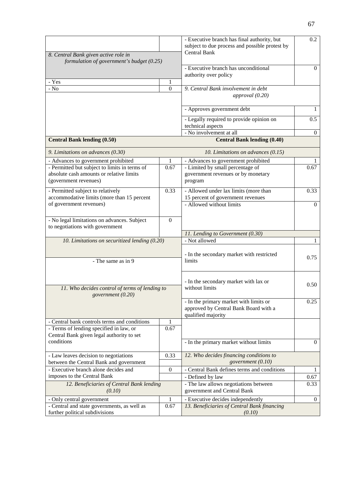| 8. Central Bank given active role in                                                                               |                       | - Executive branch has final authority, but<br>subject to due process and possible protest by<br><b>Central Bank</b> | 0.2              |
|--------------------------------------------------------------------------------------------------------------------|-----------------------|----------------------------------------------------------------------------------------------------------------------|------------------|
| formulation of government's budget (0.25)                                                                          |                       |                                                                                                                      |                  |
| - Yes                                                                                                              |                       | - Executive branch has unconditional<br>authority over policy                                                        | $\mathbf{0}$     |
| - $\rm No$                                                                                                         | 1<br>$\boldsymbol{0}$ | 9. Central Bank involvement in debt                                                                                  |                  |
|                                                                                                                    |                       | approval $(0.20)$                                                                                                    |                  |
|                                                                                                                    |                       | - Approves government debt                                                                                           | 1                |
|                                                                                                                    |                       | - Legally required to provide opinion on<br>technical aspects                                                        | 0.5              |
| <b>Central Bank lending (0.50)</b>                                                                                 |                       | - No involvement at all<br><b>Central Bank lending (0.40)</b>                                                        | $\overline{0}$   |
| 9. Limitations on advances (0.30)                                                                                  |                       | 10. Limitations on advances (0.15)                                                                                   |                  |
| - Advances to government prohibited                                                                                |                       | - Advances to government prohibited                                                                                  |                  |
| - Permitted but subject to limits in terms of<br>absolute cash amounts or relative limits<br>(government revenues) | 0.67                  | - Limited by small percentage of<br>government revenues or by monetary<br>program                                    | 0.67             |
| - Permitted subject to relatively                                                                                  | 0.33                  | - Allowed under lax limits (more than                                                                                | 0.33             |
| accommodative limits (more than 15 percent<br>of government revenues)                                              |                       | 15 percent of government revenues<br>- Allowed without limits                                                        | $\mathbf{0}$     |
|                                                                                                                    |                       |                                                                                                                      |                  |
| - No legal limitations on advances. Subject<br>to negotiations with government                                     | $\mathbf{0}$          |                                                                                                                      |                  |
|                                                                                                                    |                       | 11. Lending to Government (0.30)                                                                                     |                  |
| 10. Limitations on securitized lending (0.20)                                                                      |                       | - Not allowed                                                                                                        | 1                |
| - The same as in 9                                                                                                 |                       | - In the secondary market with restricted<br>limits                                                                  | 0.75             |
| 11. Who decides control of terms of lending to<br>government (0.20)                                                |                       | - In the secondary market with lax or<br>without limits                                                              | 0.50             |
|                                                                                                                    |                       | - In the primary market with limits or<br>approved by Central Bank Board with a<br>qualified majority                | 0.25             |
| - Central bank controls terms and conditions<br>- Terms of lending specified in law, or                            | 1<br>0.67             |                                                                                                                      |                  |
| Central Bank given legal authority to set                                                                          |                       |                                                                                                                      |                  |
| conditions                                                                                                         |                       | - In the primary market without limits                                                                               | $\boldsymbol{0}$ |
| - Law leaves decision to negotiations<br>between the Central Bank and government                                   | 0.33                  | 12. Who decides financing conditions to<br>government (0.10)                                                         |                  |
| - Executive branch alone decides and                                                                               | $\boldsymbol{0}$      | - Central Bank defines terms and conditions                                                                          | 1                |
| imposes to the Central Bank                                                                                        |                       | - Defined by law                                                                                                     | 0.67             |
| 12. Beneficiaries of Central Bank lending<br>(0.10)                                                                |                       | - The law allows negotiations between<br>government and Central Bank                                                 | 0.33             |
| - Only central government                                                                                          | 1                     | - Executive decides independently                                                                                    | $\mathbf{0}$     |
| - Central and state governments, as well as<br>further political subdivisions                                      | 0.67                  | 13. Beneficiaries of Central Bank financing<br>(0.10)                                                                |                  |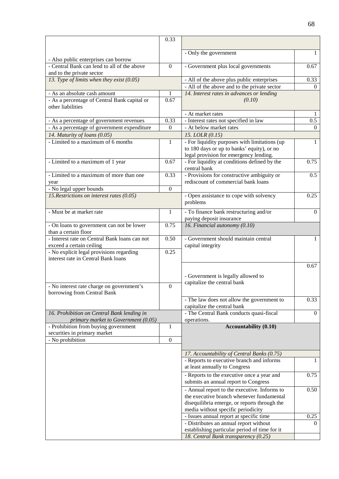|                                                                                 | 0.33             |                                                                                            |                  |
|---------------------------------------------------------------------------------|------------------|--------------------------------------------------------------------------------------------|------------------|
|                                                                                 |                  | - Only the government                                                                      | 1                |
| - Also public enterprises can borrow                                            |                  |                                                                                            |                  |
| - Central Bank can lend to all of the above                                     | $\boldsymbol{0}$ | - Government plus local governments                                                        | 0.67             |
| and to the private sector                                                       |                  |                                                                                            |                  |
| 13. Type of limits when they exist (0.05)                                       |                  | - All of the above plus public enterprises<br>- All of the above and to the private sector | 0.33<br>$\Omega$ |
| - As an absolute cash amount                                                    | 1                | 14. Interest rates in advances or lending                                                  |                  |
| - As a percentage of Central Bank capital or                                    | 0.67             | (0.10)                                                                                     |                  |
| other liabilities                                                               |                  |                                                                                            |                  |
|                                                                                 |                  | - At market rates                                                                          |                  |
| - As a percentage of government revenues                                        | 0.33             | - Interest rates not specified in law                                                      | 0.5              |
| - As a percentage of government expenditure                                     | $\Omega$         | - At below market rates                                                                    | $\overline{0}$   |
| 14. Maturity of loans (0.05)<br>- Limited to a maximum of $\overline{6}$ months | 1                | 15. LOLR (0.15)<br>- For liquidity purposes with limitations (up                           | 1                |
|                                                                                 |                  | to 180 days or up to banks' equity), or no                                                 |                  |
|                                                                                 |                  | legal provision for emergency lending.                                                     |                  |
| - Limited to a maximum of 1 year                                                | 0.67             | - For liquidity at conditions defined by the                                               | 0.75             |
|                                                                                 |                  | central bank                                                                               |                  |
| - Limited to a maximum of more than one                                         | 0.33             | - Provisions for constructive ambiguity or                                                 | 0.5              |
| year                                                                            | $\boldsymbol{0}$ | rediscount of commercial bank loans                                                        |                  |
| - No legal upper bounds<br>15. Restrictions on interest rates (0.05)            |                  | - Open assistance to cope with solvency                                                    | 0.25             |
|                                                                                 |                  | problems                                                                                   |                  |
| - Must be at market rate                                                        | 1                | - To finance bank restructuring and/or                                                     | $\Omega$         |
|                                                                                 |                  | paying deposit insurance                                                                   |                  |
| - On loans to government can not be lower                                       | 0.75             | 16. Financial autonomy (0.10)                                                              |                  |
| than a certain floor                                                            |                  |                                                                                            |                  |
| - Interest rate on Central Bank loans can not<br>exceed a certain ceiling       | 0.50             | - Government should maintain central<br>capital integrity                                  | $\mathbf{1}$     |
| - No explicit legal provisions regarding                                        | 0.25             |                                                                                            |                  |
| interest rate in Central Bank loans                                             |                  |                                                                                            |                  |
|                                                                                 |                  |                                                                                            | 0.67             |
|                                                                                 |                  | - Government is legally allowed to                                                         |                  |
|                                                                                 |                  | capitalize the central bank                                                                |                  |
| - No interest rate charge on government's                                       | $\boldsymbol{0}$ |                                                                                            |                  |
| borrowing from Central Bank                                                     |                  | - The law does not allow the government to                                                 | 0.33             |
|                                                                                 |                  | capitalize the central bank                                                                |                  |
| 16. Prohibition on Central Bank lending in                                      |                  | - The Central Bank conducts quasi-fiscal                                                   | $\overline{0}$   |
| primary market to Government (0.05)                                             |                  | operations.                                                                                |                  |
| - Prohibition from buying government                                            | 1                | <b>Accountability (0.10)</b>                                                               |                  |
| securities in primary market<br>- No prohibition                                | $\boldsymbol{0}$ |                                                                                            |                  |
|                                                                                 |                  |                                                                                            |                  |
|                                                                                 |                  | 17. Accountability of Central Banks (0.75)                                                 |                  |
|                                                                                 |                  | - Reports to executive branch and informs                                                  | 1                |
|                                                                                 |                  | at least annually to Congress                                                              |                  |
|                                                                                 |                  | - Reports to the executive once a year and                                                 | 0.75             |
|                                                                                 |                  | submits an annual report to Congress                                                       |                  |
|                                                                                 |                  | - Annual report to the executive. Informs to                                               | 0.50             |
|                                                                                 |                  | the executive branch whenever fundamental                                                  |                  |
|                                                                                 |                  | disequilibria emerge, or reports through the<br>media without specific periodicity         |                  |
|                                                                                 |                  | - Issues annual report at specific time                                                    | 0.25             |
|                                                                                 |                  | - Distributes an annual report without                                                     | $\Omega$         |
|                                                                                 |                  | establishing particular period of time for it                                              |                  |
|                                                                                 |                  | 18. Central Bank transparency (0.25)                                                       |                  |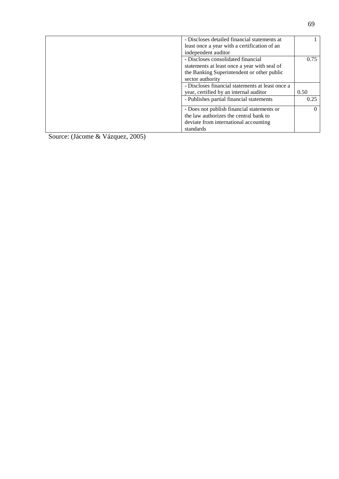| - Discloses detailed financial statements at     |      |
|--------------------------------------------------|------|
| least once a year with a certification of an     |      |
| independent auditor                              |      |
| - Discloses consolidated financial               | 0.75 |
| statements at least once a year with seal of     |      |
| the Banking Superintendent or other public       |      |
| sector authority                                 |      |
| - Discloses financial statements at least once a |      |
| year, certified by an internal auditor           | 0.50 |
| - Publishes partial financial statements         | 0.25 |
| - Does not publish financial statements or       |      |
| the law authorizes the central bank to           |      |
| deviate from international accounting            |      |
| standards                                        |      |

Source: (Jácome & Vázquez, 2005)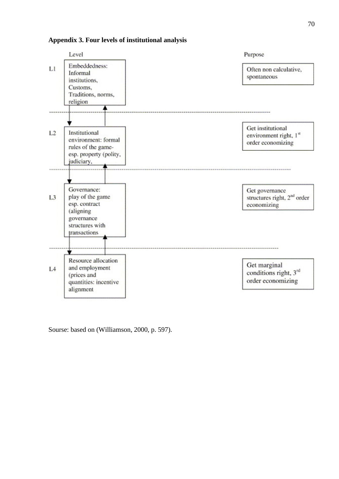#### <span id="page-69-0"></span>**Appendix 3. Four levels of institutional analysis**



Sourse: based on (Williamson, 2000, p. 597).